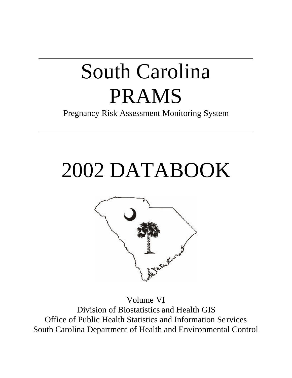# South Carolina PRAMS

Pregnancy Risk Assessment Monitoring System

# 2002 DATABOOK



Volume VI Division of Biostatistics and Health GIS Office of Public Health Statistics and Information Services South Carolina Department of Health and Environmental Control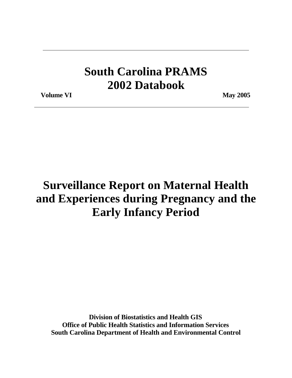# **South Carolina PRAMS 2002 Databook**

**Volume VI** May 2005

# **Surveillance Report on Maternal Health and Experiences during Pregnancy and the Early Infancy Period**

**Division of Biostatistics and Health GIS Office of Public Health Statistics and Information Services South Carolina Department of Health and Environmental Control**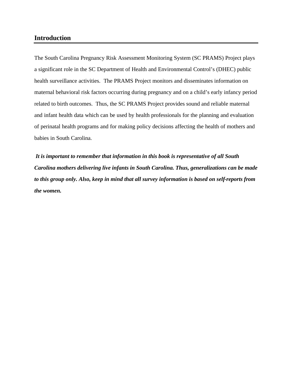#### **Introduction**

The South Carolina Pregnancy Risk Assessment Monitoring System (SC PRAMS) Project plays a significant role in the SC Department of Health and Environmental Control's (DHEC) public health surveillance activities. The PRAMS Project monitors and disseminates information on maternal behavioral risk factors occurring during pregnancy and on a child's early infancy period related to birth outcomes. Thus, the SC PRAMS Project provides sound and reliable maternal and infant health data which can be used by health professionals for the planning and evaluation of perinatal health programs and for making policy decisions affecting the health of mothers and babies in South Carolina.

 *It is important to remember that information in this book is representative of all South Carolina mothers delivering live infants in South Carolina. Thus, generalizations can be made to this group only. Also, keep in mind that all survey information is based on self-reports from the women.*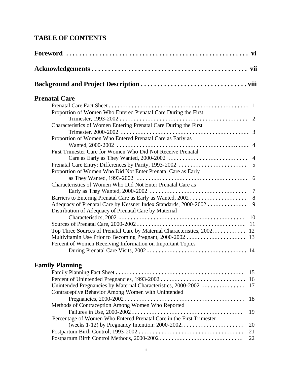## **TABLE OF CONTENTS**

| <b>Prenatal Care</b>                                                    |
|-------------------------------------------------------------------------|
|                                                                         |
| Proportion of Women Who Entered Prenatal Care During the First          |
|                                                                         |
| Characteristics of Women Entering Prenatal Care During the First        |
|                                                                         |
| Proportion of Women Who Entered Prenatal Care as Early as               |
|                                                                         |
| First Trimester Care for Women Who Did Not Receive Prenatal             |
|                                                                         |
|                                                                         |
| Proportion of Women Who Did Not Enter Prenatal Care as Early            |
| Characteristics of Women Who Did Not Enter Prenatal Care as             |
|                                                                         |
|                                                                         |
| 9<br>Adequacy of Prenatal Care by Kessner Index Standards, 2000-2002    |
| Distribution of Adequacy of Prenatal Care by Maternal                   |
|                                                                         |
|                                                                         |
| Top Three Sources of Prenatal Care by Maternal Characteristics, 2002 12 |
|                                                                         |
| Percent of Women Receiving Information on Important Topics              |
|                                                                         |
| <b>Family Planning</b>                                                  |
|                                                                         |
|                                                                         |
| Unintended Pregnancies by Maternal Characteristics, 2000-2002  17       |

| Unintended Pregnancies by Material Unaracteristics, $2000 - 2002$ 17 |  |
|----------------------------------------------------------------------|--|
| Contraceptive Behavior Among Women with Unintended                   |  |
|                                                                      |  |
| Methods of Contraception Among Women Who Reported                    |  |
|                                                                      |  |
| Percentage of Women Who Entered Prenatal Care in the First Trimester |  |
|                                                                      |  |
|                                                                      |  |
|                                                                      |  |
|                                                                      |  |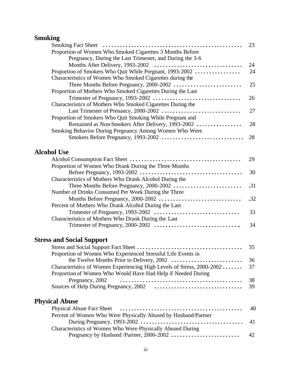## **Smoking**

|                                                                        | 23  |
|------------------------------------------------------------------------|-----|
| Proportion of Women Who Smoked Cigarettes 3 Months Before              |     |
| Pregnancy, During the Last Trimester, and During the 3-6               |     |
|                                                                        | 24  |
|                                                                        | 24  |
| Proportion of Smokers Who Quit While Pregnant, 1993-2002               |     |
| Characteristics of Women Who Smoked Cigarettes during the              |     |
| Three Months Before Pregnancy, 2000-2002                               | 25  |
| Proportion of Mothers Who Smoked Cigarettes During the Last            |     |
|                                                                        | 26  |
| Characteristics of Mothers Who Smoked Cigarettes During the            |     |
|                                                                        | 27  |
| Proportion of Smokers Who Quit Smoking While Pregnant and              |     |
| Remained as Non-Smokers After Delivery, 1993-2002                      | 28  |
| Smoking Behavior During Pregnancy Among Women Who Were                 |     |
|                                                                        | 28  |
|                                                                        |     |
| <b>Alcohol Use</b>                                                     |     |
|                                                                        | 29  |
| Proportion of Women Who Drank During the Three Months                  |     |
|                                                                        | 30  |
| Characteristics of Mothers Who Drank Alcohol During the                |     |
| Three Months Before Pregnancy, 2000-2002                               | .31 |
| Number of Drinks Consumed Per Week During the Three                    |     |
|                                                                        | .32 |
| Percent of Mothers Who Drank Alcohol During the Last                   |     |
|                                                                        | 33  |
| Characteristics of Mothers Who Drank During the Last                   |     |
|                                                                        | 34  |
|                                                                        |     |
| <b>Stress and Social Support</b>                                       |     |
|                                                                        | 35  |
|                                                                        |     |
| Proportion of Women Who Experienced Stressful Life Events in           |     |
|                                                                        | 36  |
| Characteristics of Women Experiencing High Levels of Stress, 2000-2002 | 37  |
| Proportion of Women Who Would Have Had Help if Needed During           |     |
| Pregnancy, 2002                                                        | 38  |

## **Physical Abuse**

| Percent of Women Who Were Physically Abused by Husband/Partner                                 |  |
|------------------------------------------------------------------------------------------------|--|
|                                                                                                |  |
| Characteristics of Women Who Were Physically Abused During                                     |  |
| Pregnancy by Husband /Partner, 2000-2002 $\ldots \ldots \ldots \ldots \ldots \ldots \ldots$ 42 |  |

Sources of Help During Pregnancy, 2002 **. . . . . . . . . . . . . . . . . . . . . . . . . . . . . . .** 39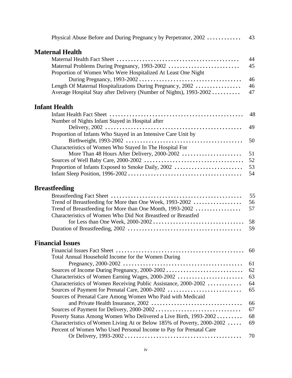| Physical Abuse Before and During Pregnancy by Perpetrator, 2002    | 43 |
|--------------------------------------------------------------------|----|
| <b>Maternal Health</b>                                             |    |
|                                                                    | 44 |
|                                                                    | 45 |
| Proportion of Women Who Were Hospitalized At Least One Night       |    |
|                                                                    | 46 |
| Length Of Maternal Hospitalizations During Pregnancy, 2002         | 46 |
| Average Hospital Stay after Delivery (Number of Nights), 1993-2002 | 47 |
|                                                                    |    |

## **Infant Health**

| Number of Nights Infant Stayed in Hospital after              |  |
|---------------------------------------------------------------|--|
|                                                               |  |
| Proportion of Infants Who Stayed in an Intensive Care Unit by |  |
|                                                               |  |
| Characteristics of Women Who Stayed In The Hospital For       |  |
|                                                               |  |
|                                                               |  |
|                                                               |  |
|                                                               |  |

## **Breastfeeding**

| Characteristics of Women Who Did Not Breastfeed or Breastfed |  |
|--------------------------------------------------------------|--|
|                                                              |  |
|                                                              |  |

## **Financial Issues**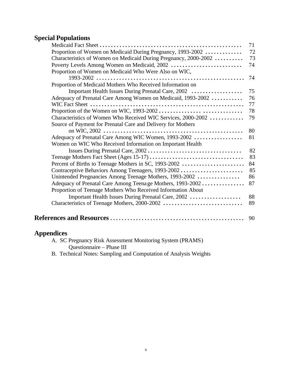## **Special Populations**

|                                                                  | 71 |
|------------------------------------------------------------------|----|
| Proportion of Women on Medicaid During Pregnancy, 1993-2002      | 72 |
| Characteristics of Women on Medicaid During Pregnancy, 2000-2002 | 73 |
| Poverty Levels Among Women on Medicaid, 2002                     | 74 |
| Proportion of Women on Medicaid Who Were Also on WIC,            | 74 |
| Proportion of Medicaid Mothers Who Received Information on       |    |
| Important Health Issues During Prenatal Care, 2002               | 75 |
| Adequacy of Prenatal Care Among Women on Medicaid, 1993-2002     | 76 |
|                                                                  | 77 |
|                                                                  | 78 |
| Characteristics of Women Who Received WIC Services, 2000-2002    | 79 |
| Source of Payment for Prenatal Care and Delivery for Mothers     |    |
|                                                                  | 80 |
| Adequacy of Prenatal Care Among WIC Women, 1993-2002             | 81 |
| Women on WIC Who Received Information on Important Health        |    |
|                                                                  | 82 |
|                                                                  | 83 |
| Percent of Births to Teenage Mothers in SC, 1993-2002            | 84 |
| Contraceptive Behaviors Among Teenagers, 1993-2002               | 85 |
| Unintended Pregnancies Among Teenage Mothers, 1993-2002          | 86 |
| Adequacy of Prenatal Care Among Teena ge Mothers, 1993-2002      | 87 |
| Proportion of Teenage Mothers Who Received Information About     |    |
| Important Health Issues During Prenatal Care, 2002               | 88 |
|                                                                  | 89 |
|                                                                  |    |
|                                                                  | 90 |

## **Appendices**

| A. SC Pregnancy Risk Assessment Monitoring System (PRAMS) |  |
|-----------------------------------------------------------|--|
| Questionnaire – Phase III                                 |  |

B. Technical Notes: Sampling and Computation of Analysis Weights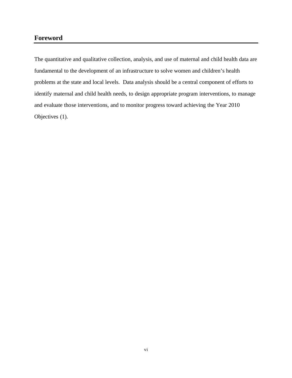#### **Foreword**

The quantitative and qualitative collection, analysis, and use of maternal and child health data are fundamental to the development of an infrastructure to solve women and children's health problems at the state and local levels. Data analysis should be a central component of efforts to identify maternal and child health needs, to design appropriate program interventions, to manage and evaluate those interventions, and to monitor progress toward achieving the Year 2010 Objectives (1).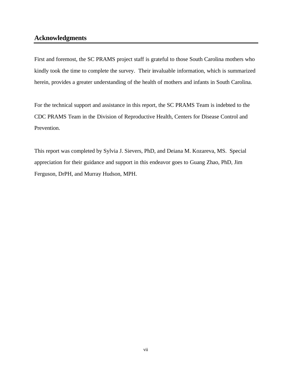#### **Acknowledgments**

First and foremost, the SC PRAMS project staff is grateful to those South Carolina mothers who kindly took the time to complete the survey. Their invaluable information, which is summarized herein, provides a greater understanding of the health of mothers and infants in South Carolina.

For the technical support and assistance in this report, the SC PRAMS Team is indebted to the CDC PRAMS Team in the Division of Reproductive Health, Centers for Disease Control and Prevention.

This report was completed by Sylvia J. Sievers, PhD, and Deiana M. Kozareva, MS. Special appreciation for their guidance and support in this endeavor goes to Guang Zhao, PhD, Jim Ferguson, DrPH, and Murray Hudson, MPH.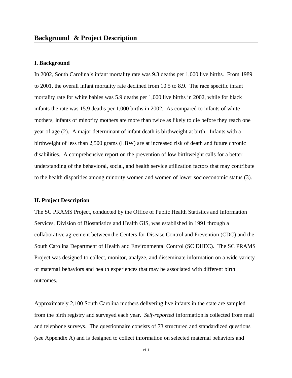#### **I. Background**

In 2002, South Carolina's infant mortality rate was 9.3 deaths per 1,000 live births. From 1989 to 2001, the overall infant mortality rate declined from 10.5 to 8.9. The race specific infant mortality rate for white babies was 5.9 deaths per 1,000 live births in 2002, while for black infants the rate was 15.9 deaths per 1,000 births in 2002. As compared to infants of white mothers, infants of minority mothers are more than twice as likely to die before they reach one year of age (2). A major determinant of infant death is birthweight at birth. Infants with a birthweight of less than 2,500 grams (LBW) are at increased risk of death and future chronic disabilities. A comprehensive report on the prevention of low birthweight calls for a better understanding of the behavioral, social, and health service utilization factors that may contribute to the health disparities among minority women and women of lower socioeconomic status (3).

#### **II. Project Description**

The SC PRAMS Project, conducted by the Office of Public Health Statistics and Information Services, Division of Biostatistics and Health GIS, was established in 1991 through a collaborative agreement between the Centers for Disease Control and Prevention (CDC) and the South Carolina Department of Health and Environmental Control (SC DHEC). The SC PRAMS Project was designed to collect, monitor, analyze, and disseminate information on a wide variety of maternal behaviors and health experiences that may be associated with different birth outcomes.

Approximately 2,100 South Carolina mothers delivering live infants in the state are sampled from the birth registry and surveyed each year. *Self-reported* information is collected from mail and telephone surveys. The questionnaire consists of 73 structured and standardized questions (see Appendix A) and is designed to collect information on selected maternal behaviors and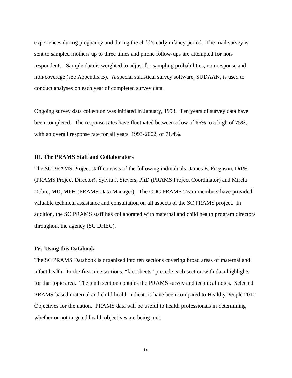experiences during pregnancy and during the child's early infancy period. The mail survey is sent to sampled mothers up to three times and phone follow-ups are attempted for nonrespondents. Sample data is weighted to adjust for sampling probabilities, non-response and non-coverage (see Appendix B). A special statistical survey software, SUDAAN, is used to conduct analyses on each year of completed survey data.

Ongoing survey data collection was initiated in January, 1993. Ten years of survey data have been completed. The response rates have fluctuated between a low of 66% to a high of 75%, with an overall response rate for all years, 1993-2002, of 71.4%.

#### **III. The PRAMS Staff and Collaborators**

The SC PRAMS Project staff consists of the following individuals: James E. Ferguson, DrPH (PRAMS Project Director), Sylvia J. Sievers, PhD (PRAMS Project Coordinator) and Mirela Dobre, MD, MPH (PRAMS Data Manager). The CDC PRAMS Team members have provided valuable technical assistance and consultation on all aspects of the SC PRAMS project. In addition, the SC PRAMS staff has collaborated with maternal and child health program directors throughout the agency (SC DHEC).

#### **IV. Using this Databook**

The SC PRAMS Databook is organized into ten sections covering broad areas of maternal and infant health. In the first nine sections, "fact sheets" precede each section with data highlights for that topic area. The tenth section contains the PRAMS survey and technical notes. Selected PRAMS-based maternal and child health indicators have been compared to Healthy People 2010 Objectives for the nation. PRAMS data will be useful to health professionals in determining whether or not targeted health objectives are being met.

ix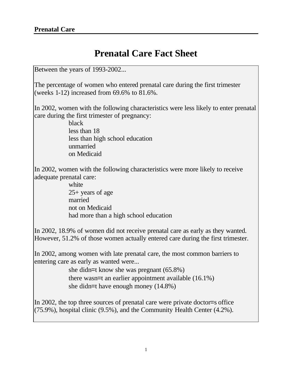## **Prenatal Care Fact Sheet**

Between the years of 1993-2002...

The percentage of women who entered prenatal care during the first trimester (weeks 1-12) increased from 69.6% to 81.6%.

In 2002, women with the following characteristics were less likely to enter prenatal care during the first trimester of pregnancy:

> black less than 18 less than high school education unmarried on Medicaid

In 2002, women with the following characteristics were more likely to receive adequate prenatal care:

> white 25+ years of age married not on Medicaid had more than a high school education

In 2002, 18.9% of women did not receive prenatal care as early as they wanted. However, 51.2% of those women actually entered care during the first trimester.

In 2002, among women with late prenatal care, the most common barriers to entering care as early as wanted were...

> she didn=t know she was pregnant (65.8%) there wasn=t an earlier appointment available (16.1%) she didn=t have enough money (14.8%)

In 2002, the top three sources of prenatal care were private doctor=s office  $(75.9\%)$ , hospital clinic (9.5%), and the Community Health Center (4.2%).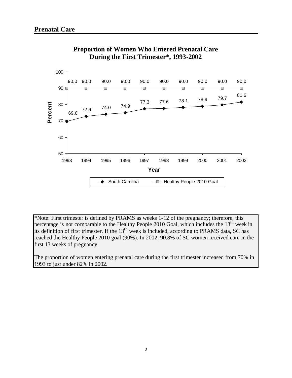

#### **Proportion of Women Who Entered Prenatal Care During the First Trimester\*, 1993-2002**

\*Note: First trimester is defined by PRAMS as weeks 1-12 of the pregnancy; therefore, this percentage is not comparable to the Healthy People 2010 Goal, which includes the 13<sup>th</sup> week in its definition of first trimester. If the 13<sup>th</sup> week is included, according to PRAMS data, SC has reached the Healthy People 2010 goal (90%). In 2002, 90.8% of SC women received care in the first 13 weeks of pregnancy.

The proportion of women entering prenatal care during the first trimester increased from 70% in 1993 to just under 82% in 2002.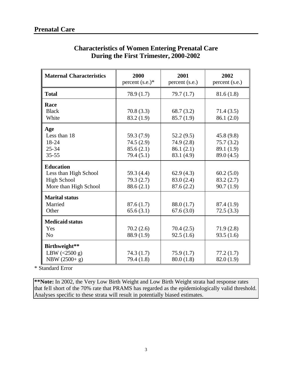| <b>Maternal Characteristics</b> | 2000<br>percent $(s.e.)^*$ | 2001<br>percent (s.e.) | 2002<br>percent (s.e.) |
|---------------------------------|----------------------------|------------------------|------------------------|
| <b>Total</b>                    | 78.9(1.7)                  | 79.7(1.7)              | 81.6(1.8)              |
| Race                            |                            |                        |                        |
| <b>Black</b>                    | 70.8(3.3)                  | 68.7(3.2)              | 71.4(3.5)              |
| White                           | 83.2 (1.9)                 | 85.7(1.9)              | 86.1 (2.0)             |
| Age                             |                            |                        |                        |
| Less than 18                    | 59.3 (7.9)                 | 52.2(9.5)              | 45.8(9.8)              |
| 18-24                           | 74.5(2.9)                  | 74.9 (2.8)             | 75.7(3.2)              |
| $25 - 34$                       | 85.6(2.1)                  | 86.1(2.1)              | 89.1 (1.9)             |
| $35 - 55$                       | 79.4(5.1)                  | 83.1 (4.9)             | 89.0 (4.5)             |
| <b>Education</b>                |                            |                        |                        |
| Less than High School           | 59.3 (4.4)                 | 62.9(4.3)              | 60.2(5.0)              |
| <b>High School</b>              | 79.3(2.7)                  | 83.0 (2.4)             | 83.2(2.7)              |
| More than High School           | 88.6(2.1)                  | 87.6(2.2)              | 90.7(1.9)              |
| <b>Marital status</b>           |                            |                        |                        |
| Married                         | 87.6(1.7)                  | 88.0 (1.7)             | 87.4 (1.9)             |
| Other                           | 65.6(3.1)                  | 67.6(3.0)              | 72.5(3.3)              |
| <b>Medicaid status</b>          |                            |                        |                        |
| Yes                             | 70.2(2.6)                  | 70.4(2.5)              | 71.9(2.8)              |
| N <sub>o</sub>                  | 88.9 (1.9)                 | 92.5(1.6)              | 93.5(1.6)              |
| Birthweight**                   |                            |                        |                        |
| LBW $(<2500 g)$                 | 74.3(1.7)                  | 75.9(1.7)              | 77.2(1.7)              |
| NBW (2500+ g)                   | 79.4 (1.8)                 | 80.0(1.8)              | 82.0(1.9)              |

## **Characteristics of Women Entering Prenatal Care During the First Trimester, 2000-2002**

\* Standard Error

**\*\*Note:** In 2002, the Very Low Birth Weight and Low Birth Weight strata had response rates that fell short of the 70% rate that PRAMS has regarded as the epidemiologically valid threshold. Analyses specific to these strata will result in potentially biased estimates.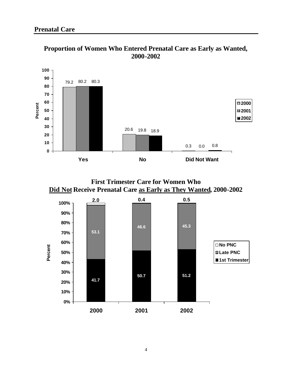

**Proportion of Women Who Entered Prenatal Care as Early as Wanted, 2000-2002**



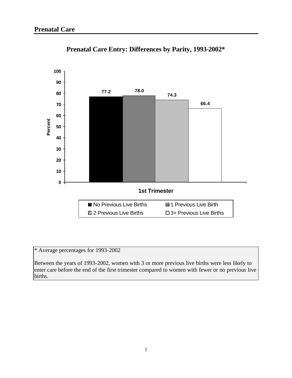

**Prenatal Care Entry: Differences by Parity, 1993-2002\***

\* Average percentages for 1993-2002

Between the years of 1993-2002, women with 3 or more previous live births were less likely to enter care before the end of the first trimester compared to women with fewer or no previous live births.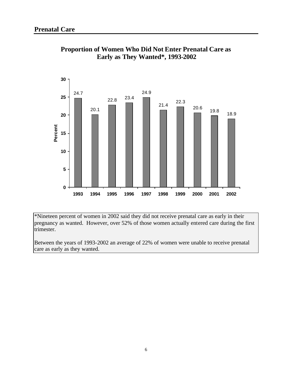

#### **Proportion of Women Who Did Not Enter Prenatal Care as Early as They Wanted\*, 1993-2002**

\*Nineteen percent of women in 2002 said they did not receive prenatal care as early in their pregnancy as wanted. However, over 52% of those women actually entered care during the first trimester.

Between the years of 1993-2002 an average of 22% of women were unable to receive prenatal care as early as they wanted.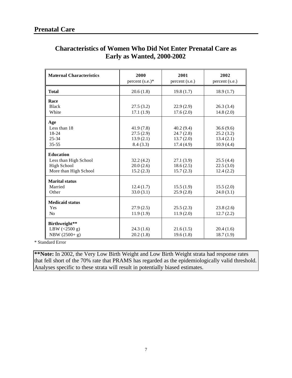| <b>Maternal Characteristics</b> | 2000<br>percent $(s.e.)$ * | 2001<br>percent (s.e.) | 2002<br>percent (s.e.) |
|---------------------------------|----------------------------|------------------------|------------------------|
| <b>Total</b>                    | 20.6(1.8)                  | 19.8(1.7)              | 18.9(1.7)              |
| Race                            |                            |                        |                        |
| <b>Black</b>                    | 27.5(3.2)                  | 22.9(2.9)              | 26.3(3.4)              |
| White                           | 17.1(1.9)                  | 17.6(2.0)              | 14.8(2.0)              |
| Age                             |                            |                        |                        |
| Less than 18                    | 41.9(7.8)                  | 40.2(9.4)              | 36.6(9.6)              |
| $18-24$                         | 27.5(2.9)                  | 24.7(2.8)              | 25.2(3.2)              |
| $25 - 34$                       | 13.9(2.1)                  | 13.7(2.0)              | 13.4(2.1)              |
| $35 - 55$                       | 8.4(3.3)                   | 17.4(4.9)              | 10.9(4.4)              |
| <b>Education</b>                |                            |                        |                        |
| Less than High School           | 32.2(4.2)                  | 27.1(3.9)              | 25.5(4.4)              |
| <b>High School</b>              | 20.0(2.6)                  | 18.6(2.5)              | 22.5(3.0)              |
| More than High School           | 15.2(2.3)                  | 15.7(2.3)              | 12.4(2.2)              |
| <b>Marital status</b>           |                            |                        |                        |
| Married                         | 12.4(1.7)                  | 15.5(1.9)              | 15.5(2.0)              |
| Other                           | 33.0(3.1)                  | 25.9(2.8)              | 24.0(3.1)              |
| <b>Medicaid status</b>          |                            |                        |                        |
| Yes                             | 27.9(2.5)                  | 25.5(2.3)              | 23.8(2.6)              |
| N <sub>o</sub>                  | 11.9(1.9)                  | 11.9(2.0)              | 12.7(2.2)              |
| Birthweight**                   |                            |                        |                        |
| LBW $(<2500 g)$                 | 24.3(1.6)                  | 21.6(1.5)              | 20.4(1.6)              |
| $NBW (2500 + g)$                | 20.2(1.8)                  | 19.6(1.8)              | 18.7(1.9)              |

## **Characteristics of Women Who Did Not Enter Prenatal Care as Early as Wanted, 2000-2002**

\* Standard Error

**\*\*Note:** In 2002, the Very Low Birth Weight and Low Birth Weight strata had response rates that fell short of the 70% rate that PRAMS has regarded as the epidemiologically valid threshold. Analyses specific to these strata will result in potentially biased estimates.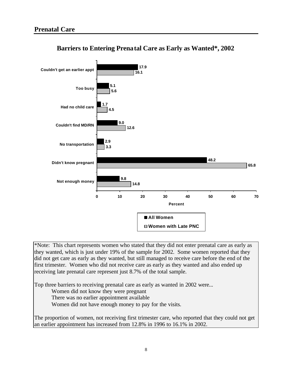

**Barriers to Entering Prenatal Care as Early as Wanted\*, 2002**

\*Note: This chart represents women who stated that they did not enter prenatal care as early as they wanted, which is just under 19% of the sample for 2002. Some women reported that they did not get care as early as they wanted, but still managed to receive care before the end of the first trimester. Women who did not receive care as early as they wanted and also ended up receiving late prenatal care represent just 8.7% of the total sample.

Top three barriers to receiving prenatal care as early as wanted in 2002 were...

Women did not know they were pregnant

There was no earlier appointment available

Women did not have enough money to pay for the visits.

The proportion of women, not receiving first trimester care, who reported that they could not get an earlier appointment has increased from 12.8% in 1996 to 16.1% in 2002.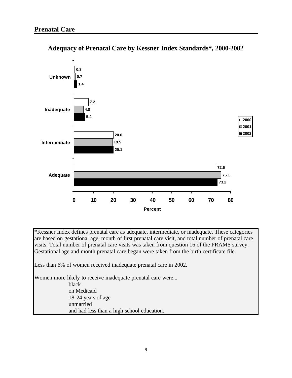

### **Adequacy of Prenatal Care by Kessner Index Standards\*, 2000-2002**

\*Kessner Index defines prenatal care as adequate, intermediate, or inadequate. These categories are based on gestational age, month of first prenatal care visit, and total number of prenatal care visits. Total number of prenatal care visits was taken from question 16 of the PRAMS survey. Gestational age and month prenatal care began were taken from the birth certificate file.

Less than 6% of women received inadequate prenatal care in 2002.

Women more likely to receive inadequate prenatal care were... black on Medicaid 18-24 years of age unmarried and had less than a high school education.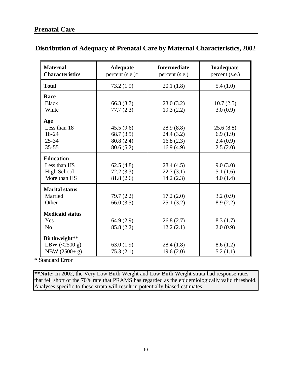## **Distribution of Adequacy of Prenatal Care by Maternal Characteristics, 2002**

| <b>Maternal</b><br><b>Characteristics</b> | <b>Adequate</b><br>percent $(s.e.)^*$ | <b>Intermediate</b><br>percent (s.e.) | Inadequate<br>percent (s.e.) |
|-------------------------------------------|---------------------------------------|---------------------------------------|------------------------------|
| <b>Total</b>                              | 73.2(1.9)                             | 20.1(1.8)                             | 5.4(1.0)                     |
| Race                                      |                                       |                                       |                              |
| <b>Black</b><br>White                     | 66.3(3.7)<br>77.7(2.3)                | 23.0(3.2)<br>19.3(2.2)                | 10.7(2.5)<br>3.0(0.9)        |
| Age                                       |                                       |                                       |                              |
| Less than 18<br>18-24                     | 45.5(9.6)<br>68.7(3.5)                | 28.9(8.8)<br>24.4(3.2)                | 25.6(8.8)<br>6.9(1.9)        |
| $25 - 34$                                 | 80.8 (2.4)                            | 16.8(2.3)                             | 2.4(0.9)                     |
| $35 - 55$                                 | 80.6(5.2)                             | 16.9(4.9)                             | 2.5(2.0)                     |
| <b>Education</b>                          |                                       |                                       |                              |
| Less than HS                              | 62.5(4.8)                             | 28.4(4.5)                             | 9.0(3.0)                     |
| <b>High School</b><br>More than HS        | 72.2(3.3)<br>81.8 (2.6)               | 22.7(3.1)<br>14.2(2.3)                | 5.1(1.6)<br>4.0(1.4)         |
| <b>Marital status</b>                     |                                       |                                       |                              |
| Married                                   | 79.7(2.2)                             | 17.2(2.0)                             | 3.2(0.9)                     |
| Other                                     | 66.0(3.5)                             | 25.1(3.2)                             | 8.9(2.2)                     |
| <b>Medicaid status</b>                    |                                       |                                       |                              |
| Yes                                       | 64.9(2.9)                             | 26.8(2.7)                             | 8.3(1.7)                     |
| N <sub>o</sub>                            | 85.8 (2.2)                            | 12.2(2.1)                             | 2.0(0.9)                     |
| Birthweight**                             |                                       |                                       |                              |
| LBW $(<2500 g)$                           | 63.0(1.9)                             | 28.4(1.8)                             | 8.6(1.2)                     |
| NBW (2500+ g)                             | 75.3(2.1)                             | 19.6(2.0)                             | 5.2(1.1)                     |

\* Standard Error

**\*\*Note:** In 2002, the Very Low Birth Weight and Low Birth Weight strata had response rates that fell short of the 70% rate that PRAMS has regarded as the epidemiologically valid threshold. Analyses specific to these strata will result in potentially biased estimates.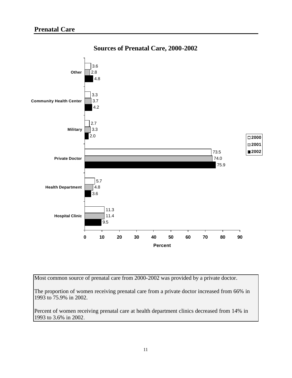

**Sources of Prenatal Care, 2000-2002**

Most common source of prenatal care from 2000-2002 was provided by a private doctor.

The proportion of women receiving prenatal care from a private doctor increased from 66% in 1993 to 75.9% in 2002.

Percent of women receiving prenatal care at health department clinics decreased from 14% in 1993 to 3.6% in 2002.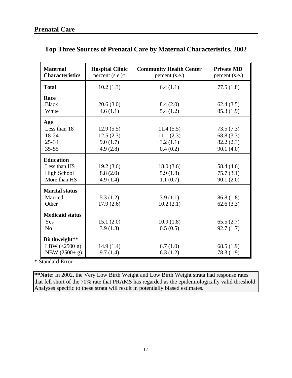| <b>Maternal</b><br><b>Characteristics</b> | <b>Hospital Clinic</b><br>percent $(s.e.)^*$ | <b>Community Health Center</b><br>percent (s.e.) | <b>Private MD</b><br>percent (s.e.) |
|-------------------------------------------|----------------------------------------------|--------------------------------------------------|-------------------------------------|
| <b>Total</b>                              | 10.2(1.3)                                    | 6.4(1.1)                                         | 77.5(1.8)                           |
| Race                                      |                                              |                                                  |                                     |
| <b>Black</b>                              | 20.6(3.0)                                    | 8.4(2.0)                                         | 62.4(3.5)                           |
| White                                     | 4.6(1.1)                                     | 5.4(1.2)                                         | 85.3(1.9)                           |
| Age                                       |                                              |                                                  |                                     |
| Less than 18                              | 12.9(5.5)                                    | 11.4(5.5)                                        | 73.5(7.3)                           |
| 18-24                                     | 12.5(2.3)                                    | 11.1(2.3)                                        | 68.8(3.3)                           |
| $25 - 34$                                 | 9.0(1.7)                                     | 3.2(1.1)                                         | 82.2(2.3)                           |
| $35 - 55$                                 | 4.9(2.8)                                     | 0.4(0.2)                                         | 90.1(4.0)                           |
| <b>Education</b>                          |                                              |                                                  |                                     |
| Less than HS                              | 19.2(3.6)                                    | 18.0(3.6)                                        | 58.4 (4.6)                          |
| <b>High School</b>                        | 8.8(2.0)                                     | 5.9(1.8)                                         | 75.7(3.1)                           |
| More than HS                              | 4.9(1.4)                                     | 1.1(0.7)                                         | 90.1(2.0)                           |
| <b>Marital status</b>                     |                                              |                                                  |                                     |
| Married                                   | 5.3(1.2)                                     | 3.9(1.1)                                         | 86.8(1.8)                           |
| Other                                     | 17.9(2.6)                                    | 10.2(2.1)                                        | 62.6(3.3)                           |
| <b>Medicaid status</b>                    |                                              |                                                  |                                     |
| Yes                                       | 15.1(2.0)                                    | 10.9(1.8)                                        | 65.5(2.7)                           |
| N <sub>o</sub>                            | 3.9(1.3)                                     | 0.5(0.5)                                         | 92.7(1.7)                           |
| Birthweight**                             |                                              |                                                  |                                     |
| LBW $(<2500 g)$                           | 14.9(1.4)                                    | 6.7(1.0)                                         | 68.5 $(1.9)$                        |
| NBW (2500+ g)                             | 9.7(1.4)                                     | 6.3(1.2)                                         | 78.3 (1.9)                          |

## **Top Three Sources of Prenatal Care by Maternal Characteristics, 2002**

\* Standard Error

**\*\*Note:** In 2002, the Very Low Birth Weight and Low Birth Weight strata had response rates that fell short of the 70% rate that PRAMS has regarded as the epidemiologically valid threshold. Analyses specific to these strata will result in potentially biased estimates.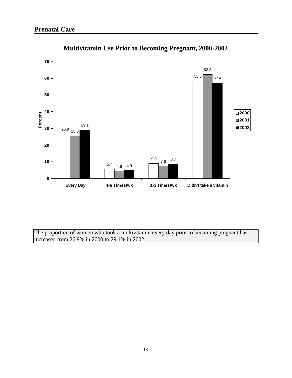

**Multivitamin Use Prior to Becoming Pregnant, 2000-2002**

The proportion of women who took a multivitamin every day prior to becoming pregnant has increased from 26.9% in 2000 to 29.1% in 2002.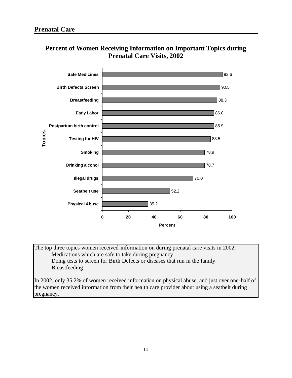

### **Percent of Women Receiving Information on Important Topics during Prenatal Care Visits, 2002**

The top three topics women received information on during prenatal care visits in 2002: Medications which are safe to take during pregnancy Doing tests to screen for Birth Defects or diseases that run in the family Breastfeeding

In 2002, only 35.2% of women received information on physical abuse, and just over one-half of the women received information from their health care provider about using a seatbelt during pregnancy.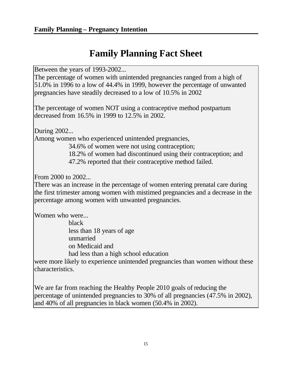## **Family Planning Fact Sheet**

Between the years of 1993-2002...

The percentage of women with unintended pregnancies ranged from a high of 51.0% in 1996 to a low of 44.4% in 1999, however the percentage of unwanted pregnancies have steadily decreased to a low of 10.5% in 2002

The percentage of women NOT using a contraceptive method postpartum decreased from 16.5% in 1999 to 12.5% in 2002.

During 2002...

Among women who experienced unintended pregnancies,

34.6% of women were not using contraception;

- 18.2% of women had discontinued using their contraception; and
- 47.2% reported that their contraceptive method failed.

From 2000 to 2002...

There was an increase in the percentage of women entering prenatal care during the first trimester among women with mistimed pregnancies and a decrease in the percentage among women with unwanted pregnancies.

Women who were...

black less than 18 years of age unmarried on Medicaid and had less than a high school education

were more likely to experience unintended pregnancies than women without these characteristics.

We are far from reaching the Healthy People 2010 goals of reducing the percentage of unintended pregnancies to 30% of all pregnancies (47.5% in 2002), and 40% of all pregnancies in black women (50.4% in 2002).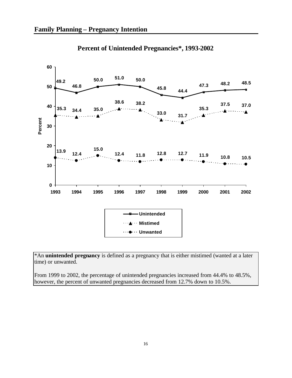

## **Percent of Unintended Pregnancies\*, 1993-2002**

\*An **unintended pregnancy** is defined as a pregnancy that is either mistimed (wanted at a later time) or unwanted.

From 1999 to 2002, the percentage of unintended pregnancies increased from 44.4% to 48.5%, however, the percent of unwanted pregnancies decreased from 12.7% down to 10.5%.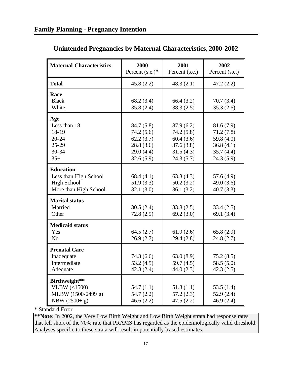| <b>Maternal Characteristics</b> | 2000<br>Percent $(s.e.)^*$ | 2001<br>Percent (s.e.) | 2002<br>Percent (s.e.) |
|---------------------------------|----------------------------|------------------------|------------------------|
| <b>Total</b>                    | 45.8(2.2)                  | 48.3(2.1)              | 47.2(2.2)              |
| Race<br><b>Black</b>            |                            |                        |                        |
| White                           | 68.2 (3.4)<br>35.8(2.4)    | 66.4(3.2)<br>38.3(2.5) | 70.7(3.4)<br>35.3(2.6) |
| Age                             |                            |                        |                        |
| Less than 18                    | 84.7 (5.8)                 | 87.9(6.2)              | 81.6(7.9)              |
| 18-19                           | 74.2(5.6)                  | 74.2(5.8)              | 71.2(7.8)              |
| $20 - 24$                       | 62.2(3.7)                  | 60.4(3.6)              | 59.8 (4.0)             |
| $25 - 29$                       | 28.8(3.6)                  | 37.6(3.8)              | 36.8(4.1)              |
| 30-34<br>$35+$                  | 29.0(4.4)<br>32.6(5.9)     | 31.5(4.3)<br>24.3(5.7) | 35.7(4.4)<br>24.3(5.9) |
|                                 |                            |                        |                        |
| <b>Education</b>                |                            |                        |                        |
| Less than High School           | 68.4(4.1)                  | 63.3(4.3)              | 57.6(4.9)              |
| <b>High School</b>              | 51.9(3.3)                  | 50.2(3.2)              | 49.0 $(3.6)$           |
| More than High School           | 32.1(3.0)                  | 36.1(3.2)              | 40.7(3.3)              |
| <b>Marital status</b>           |                            |                        |                        |
| Married                         | 30.5(2.4)                  | 33.8(2.5)              | 33.4(2.5)              |
| Other                           | 72.8(2.9)                  | 69.2(3.0)              | 69.1 $(3.4)$           |
| <b>Medicaid status</b>          |                            |                        |                        |
| Yes                             | 64.5(2.7)                  | 61.9(2.6)              | 65.8(2.9)              |
| N <sub>0</sub>                  | 26.9(2.7)                  | 29.4(2.8)              | 24.8(2.7)              |
| <b>Prenatal Care</b>            |                            |                        |                        |
| Inadequate                      | 74.3(6.6)                  | 63.0(8.9)              | 75.2(8.5)              |
| Intermediate                    | 53.2(4.5)                  | 59.7 $(4.5)$           | 58.5(5.0)              |
| Adequate                        | 42.8(2.4)                  | 44.0(2.3)              | 42.3(2.5)              |
| Birthweight**                   |                            |                        |                        |
| VLBW $(\leq 1500)$              | 54.7(1.1)                  | 51.3(1.1)              | 53.5 $(1.4)$           |
| MLBW (1500-2499 g)              | 54.7(2.2)                  | 57.2(2.3)              | 52.9(2.4)              |
| NBW $(2500 + g)$                | 46.6(2.2)                  | 47.5(2.2)              | 46.9(2.4)              |

## **Unintended Pregnancies by Maternal Characteristics, 2000-2002**

\* Standard Error

**\*\*Note:** In 2002, the Very Low Birth Weight and Low Birth Weight strata had response rates that fell short of the 70% rate that PRAMS has regarded as the epidemiologically valid threshold. Analyses specific to these strata will result in potentially biased estimates.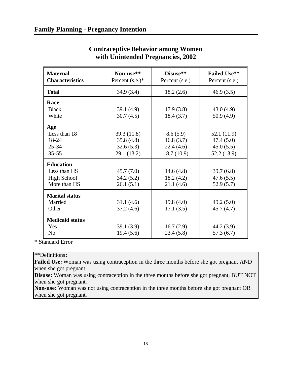| <b>Maternal</b><br><b>Characteristics</b> | Non-use**<br>Percent $(s.e.)^*$ | Disuse**<br>Percent (s.e.) | <b>Failed Use**</b><br>Percent (s.e.) |
|-------------------------------------------|---------------------------------|----------------------------|---------------------------------------|
| <b>Total</b>                              | 34.9(3.4)                       | 18.2(2.6)                  | 46.9(3.5)                             |
| Race                                      |                                 |                            |                                       |
| <b>Black</b><br>White                     | 39.1(4.9)<br>30.7(4.5)          | 17.9(3.8)<br>18.4(3.7)     | 43.0(4.9)<br>50.9(4.9)                |
| Age                                       |                                 |                            |                                       |
| Less than 18                              | 39.3(11.8)                      | 8.6(5.9)                   | 52.1 (11.9)                           |
| 18-24                                     | 35.8(4.8)                       | 16.8(3.7)                  | 47.4(5.0)                             |
| $25 - 34$                                 | 32.6(5.3)                       | 22.4(4.6)                  | 45.0(5.5)                             |
| $35 - 55$                                 | 29.1 (13.2)                     | 18.7(10.9)                 | 52.2 (13.9)                           |
| <b>Education</b>                          |                                 |                            |                                       |
| Less than HS                              | 45.7(7.0)                       | 14.6 $(4.8)$               | 39.7(6.8)                             |
| <b>High School</b>                        | 34.2(5.2)                       | 18.2(4.2)                  | 47.6(5.5)                             |
| More than HS                              | 26.1(5.1)                       | 21.1(4.6)                  | 52.9(5.7)                             |
| <b>Marital status</b>                     |                                 |                            |                                       |
| Married                                   | 31.1(4.6)                       | 19.8(4.0)                  | 49.2(5.0)                             |
| Other                                     | 37.2(4.6)                       | 17.1(3.5)                  | 45.7(4.7)                             |
| <b>Medicaid status</b>                    |                                 |                            |                                       |
| Yes                                       | 39.1(3.9)                       | 16.7(2.9)                  | 44.2 (3.9)                            |
| N <sub>0</sub>                            | 19.4(5.6)                       | 23.4(5.8)                  | 57.3(6.7)                             |

## **Contraceptive Behavior among Women with Unintended Pregnancies, 2002**

\* Standard Error

\*\*Definitions:

**Failed Use:** Woman was using contraception in the three months before she got pregnant AND when she got pregnant.

**Disuse:** Woman was using contraception in the three months before she got pregnant, BUT NOT when she got pregnant.

**Non-use:** Woman was not using contraception in the three months before she got pregnant OR when she got pregnant.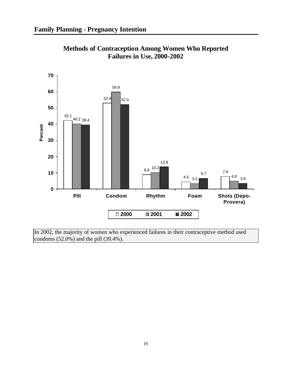

**Methods of Contraception Among Women Who Reported Failures in Use, 2000-2002**

In 2002, the majority of women who experienced failures in their contraceptive method used condoms (52.0%) and the pill (39.4%).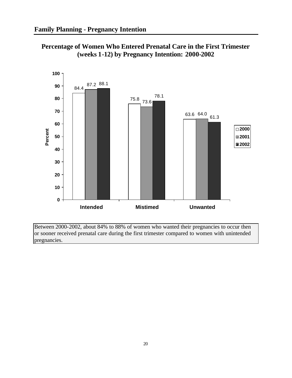**Percentage of Women Who Entered Prenatal Care in the First Trimester (weeks 1-12) by Pregnancy Intention: 2000-2002**



Between 2000-2002, about 84% to 88% of women who wanted their pregnancies to occur then or sooner received prenatal care during the first trimester compared to women with unintended pregnancies.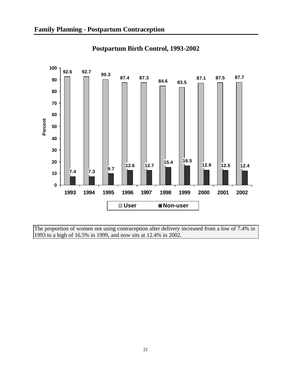

**Postpartum Birth Control, 1993-2002**

The proportion of women not using contraception after delivery increased from a low of 7.4% in 1993 to a high of 16.5% in 1999, and now sits at 12.4% in 2002.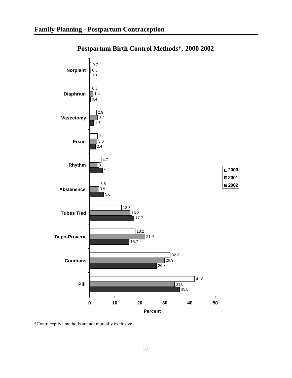

### **Postpartum Birth Control Methods\*, 2000-2002**

\*Contraceptive methods are not mutually exclusive.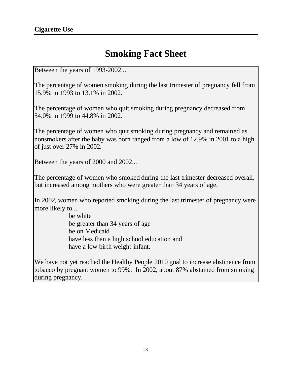# **Smoking Fact Sheet**

Between the years of 1993-2002...

The percentage of women smoking during the last trimester of pregnancy fell from 15.9% in 1993 to 13.1% in 2002.

The percentage of women who quit smoking during pregnancy decreased from 54.0% in 1999 to 44.8% in 2002.

The percentage of women who quit smoking during pregnancy and remained as nonsmokers after the baby was born ranged from a low of 12.9% in 2001 to a high of just over 27% in 2002.

Between the years of 2000 and 2002...

The percentage of women who smoked during the last trimester decreased overall, but increased among mothers who were greater than 34 years of age.

In 2002, women who reported smoking during the last trimester of pregnancy were more likely to...

> be white be greater than 34 years of age be on Medicaid have less than a high school education and have a low birth weight infant.

We have not yet reached the Healthy People 2010 goal to increase abstinence from tobacco by pregnant women to 99%. In 2002, about 87% abstained from smoking during pregnancy.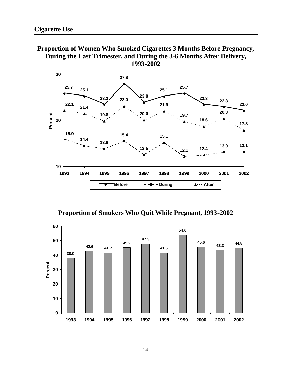



**Proportion of Smokers Who Quit While Pregnant, 1993-2002**

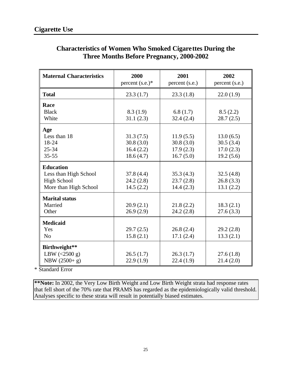| <b>Maternal Characteristics</b> | 2000<br>percent $(s.e.)^*$ | 2001<br>percent (s.e.) | 2002<br>percent (s.e.) |
|---------------------------------|----------------------------|------------------------|------------------------|
| <b>Total</b>                    | 23.3(1.7)                  | 23.3(1.8)              | 22.0(1.9)              |
| Race                            |                            |                        |                        |
| <b>Black</b>                    | 8.3(1.9)                   | 6.8(1.7)               | 8.5(2.2)               |
| White                           | 31.1(2.3)                  | 32.4(2.4)              | 28.7(2.5)              |
| Age                             |                            |                        |                        |
| Less than 18                    | 31.3(7.5)                  | 11.9(5.5)              | 13.0(6.5)              |
| 18-24                           | 30.8(3.0)                  | 30.8(3.0)              | 30.5(3.4)              |
| $25 - 34$                       | 16.4(2.2)                  | 17.9(2.3)              | 17.0(2.3)              |
| $35 - 55$                       | 18.6(4.7)                  | 16.7(5.0)              | 19.2(5.6)              |
| <b>Education</b>                |                            |                        |                        |
| Less than High School           | 37.8(4.4)                  | 35.3(4.3)              | 32.5(4.8)              |
| <b>High School</b>              | 24.2(2.8)                  | 23.7(2.8)              | 26.8(3.3)              |
| More than High School           | 14.5(2.2)                  | 14.4(2.3)              | 13.1(2.2)              |
| <b>Marital status</b>           |                            |                        |                        |
| Married                         | 20.9(2.1)                  | 21.8(2.2)              | 18.3(2.1)              |
| Other                           | 26.9(2.9)                  | 24.2(2.8)              | 27.6(3.3)              |
| <b>Medicaid</b>                 |                            |                        |                        |
| Yes                             | 29.7(2.5)                  | 26.8(2.4)              | 29.2(2.8)              |
| N <sub>o</sub>                  | 15.8(2.1)                  | 17.1(2.4)              | 13.3(2.1)              |
| Birthweight**                   |                            |                        |                        |
| LBW $(<2500 g)$                 | 26.5(1.7)                  | 26.3(1.7)              | 27.6(1.8)              |
| NBW (2500+ g)                   | 22.9(1.9)                  | 22.4(1.9)              | 21.4(2.0)              |

### **Characteristics of Women Who Smoked Cigarettes During the Three Months Before Pregnancy, 2000-2002**

\* Standard Error

**\*\*Note:** In 2002, the Very Low Birth Weight and Low Birth Weight strata had response rates that fell short of the 70% rate that PRAMS has regarded as the epidemiologically valid threshold. Analyses specific to these strata will result in potentially biased estimates.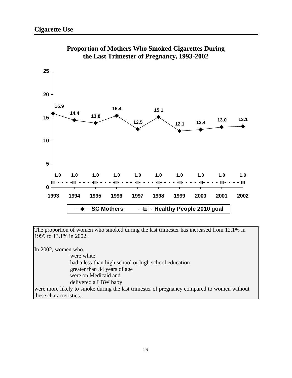



The proportion of women who smoked during the last trimester has increased from 12.1% in 1999 to 13.1% in 2002.

In 2002, women who...

 were white had a less than high school or high school education greater than 34 years of age were on Medicaid and delivered a LBW baby

were more likely to smoke during the last trimester of pregnancy compared to women without these characteristics.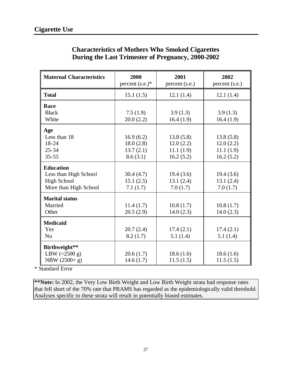| <b>Maternal Characteristics</b> | 2000<br>percent $(s.e.)^*$ | 2001<br>percent (s.e.) | 2002<br>percent (s.e.) |
|---------------------------------|----------------------------|------------------------|------------------------|
| <b>Total</b>                    | 15.1(1.5)                  | 12.1(1.4)              | 12.1(1.4)              |
| Race                            |                            |                        |                        |
| <b>Black</b>                    | 7.5(1.9)                   | 3.9(1.3)               | 3.9(1.3)               |
| White                           | 20.0(2.2)                  | 16.4(1.9)              | 16.4(1.9)              |
| Age                             |                            |                        |                        |
| Less than 18                    | 16.9(6.2)                  | 13.8(5.8)              | 13.8(5.8)              |
| 18-24                           | 18.0(2.8)                  | 12.0(2.2)              | 12.0(2.2)              |
| $25 - 34$                       | 13.7(2.1)                  | 11.1(1.9)              | 11.1(1.9)              |
| $35 - 55$                       | 8.6(3.1)                   | 16.2(5.2)              | 16.2(5.2)              |
| <b>Education</b>                |                            |                        |                        |
| Less than High School           | 30.4(4.7)                  | 19.4(3.6)              | 19.4(3.6)              |
| <b>High School</b>              | 15.1(2.5)                  | 13.1(2.4)              | 13.1(2.4)              |
| More than High School           | 7.1(1.7)                   | 7.0(1.7)               | 7.0(1.7)               |
| <b>Marital status</b>           |                            |                        |                        |
| Married                         | 11.4(1.7)                  | 10.8(1.7)              | 10.8(1.7)              |
| Other                           | 20.5(2.9)                  | 14.0(2.3)              | 14.0(2.3)              |
| <b>Medicaid</b>                 |                            |                        |                        |
| Yes                             | 20.7(2.4)                  | 17.4(2.1)              | 17.4(2.1)              |
| N <sub>o</sub>                  | 8.2(1.7)                   | 5.1(1.4)               | 5.1(1.4)               |
| Birthweight**                   |                            |                        |                        |
| LBW $(<2500 g)$                 | 20.6(1.7)                  | 18.6(1.6)              | 18.6(1.6)              |
| NBW (2500+ g)                   | 14.6(1.7)                  | 11.5(1.5)              | 11.5(1.5)              |

#### **Characteristics of Mothers Who Smoked Cigarettes During the Last Trimester of Pregnancy, 2000-2002**

\* Standard Error

**\*\*Note:** In 2002, the Very Low Birth Weight and Low Birth Weight strata had response rates that fell short of the 70% rate that PRAMS has regarded as the epidemiologically valid threshold. Analyses specific to these strata will result in potentially biased estimates.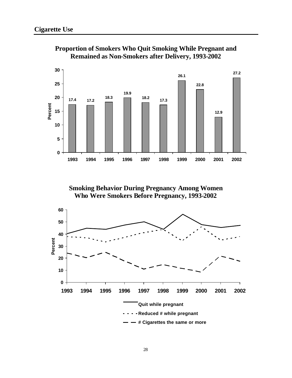

**Proportion of Smokers Who Quit Smoking While Pregnant and Remained as Non-Smokers after Delivery, 1993-2002**

**Smoking Behavior During Pregnancy Among Women Who Were Smokers Before Pregnancy, 1993-2002**

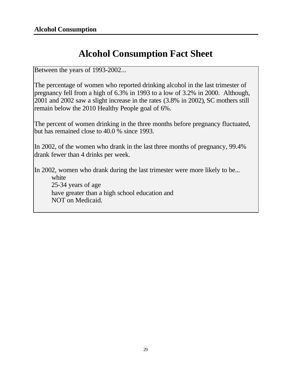# **Alcohol Consumption Fact Sheet**

Between the years of 1993-2002...

The percentage of women who reported drinking alcohol in the last trimester of pregnancy fell from a high of 6.3% in 1993 to a low of 3.2% in 2000. Although, 2001 and 2002 saw a slight increase in the rates (3.8% in 2002), SC mothers still remain below the 2010 Healthy People goal of 6%.

The percent of women drinking in the three months before pregnancy fluctuated, but has remained close to 40.0 % since 1993.

In 2002, of the women who drank in the last three months of pregnancy, 99.4% drank fewer than 4 drinks per week.

In 2002, women who drank during the last trimester were more likely to be... white 25-34 years of age have greater than a high school education and NOT on Medicaid.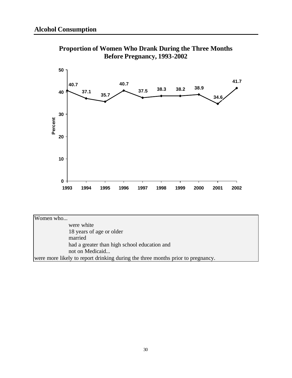

**Proportion of Women Who Drank During the Three Months Before Pregnancy, 1993-2002**

Women who... were white 18 years of age or older married had a greater than high school education and not on Medicaid... were more likely to report drinking during the three months prior to pregnancy.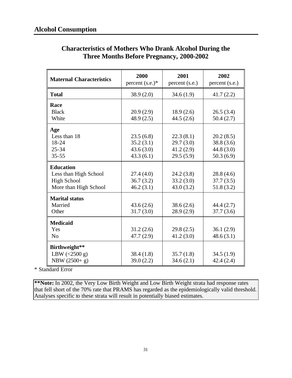| <b>Maternal Characteristics</b> | 2000<br>percent $(s.e.)^*$ | 2001<br>percent (s.e.) | 2002<br>percent (s.e.) |
|---------------------------------|----------------------------|------------------------|------------------------|
| <b>Total</b>                    | 38.9(2.0)                  | 34.6(1.9)              | 41.7(2.2)              |
| Race                            |                            |                        |                        |
| <b>Black</b>                    | 20.9(2.9)                  | 18.9(2.6)              | 26.5(3.4)              |
| White                           | 48.9(2.5)                  | 44.5(2.6)              | 50.4(2.7)              |
| Age                             |                            |                        |                        |
| Less than 18                    | 23.5(6.8)                  | 22.3(8.1)              | 20.2(8.5)              |
| 18-24                           | 35.2(3.1)                  | 29.7(3.0)              | 38.8(3.6)              |
| $25 - 34$                       | 43.6(3.0)                  | 41.2(2.9)              | 44.8(3.0)              |
| $35 - 55$                       | 43.3(6.1)                  | 29.5(5.9)              | 50.3(6.9)              |
| <b>Education</b>                |                            |                        |                        |
| Less than High School           | 27.4(4.0)                  | 24.2(3.8)              | 28.8(4.6)              |
| <b>High School</b>              | 36.7(3.2)                  | 33.2(3.0)              | 37.7(3.5)              |
| More than High School           | 46.2(3.1)                  | 43.0(3.2)              | 51.8(3.2)              |
| <b>Marital status</b>           |                            |                        |                        |
| Married                         | 43.6(2.6)                  | 38.6(2.6)              | 44.4(2.7)              |
| Other                           | 31.7(3.0)                  | 28.9 (2.9)             | 37.7(3.6)              |
| <b>Medicaid</b>                 |                            |                        |                        |
| Yes                             | 31.2(2.6)                  | 29.8(2.5)              | 36.1(2.9)              |
| N <sub>0</sub>                  | 47.7(2.9)                  | 41.2(3.0)              | 48.6(3.1)              |
| Birthweight**                   |                            |                        |                        |
| LBW $(<2500 g)$                 | 38.4(1.8)                  | 35.7(1.8)              | 34.5(1.9)              |
| NBW (2500+ g)                   | 39.0(2.2)                  | 34.6(2.1)              | 42.4(2.4)              |

### **Characteristics of Mothers Who Drank Alcohol During the Three Months Before Pregnancy, 2000-2002**

\* Standard Error

**\*\*Note:** In 2002, the Very Low Birth Weight and Low Birth Weight strata had response rates that fell short of the 70% rate that PRAMS has regarded as the epidemiologically valid threshold. Analyses specific to these strata will result in potentially biased estimates.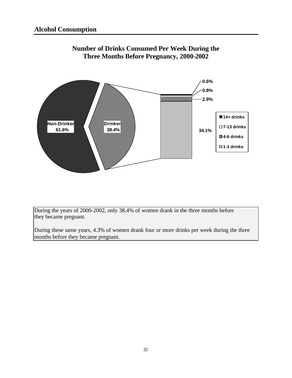

### **Number of Drinks Consumed Per Week During the Three Months Before Pregnancy, 2000-2002**

During the years of 2000-2002, only 38.4% of women drank in the three months before they became pregnant.

During these same years, 4.3% of women drank four or more drinks per week during the three months before they became pregnant.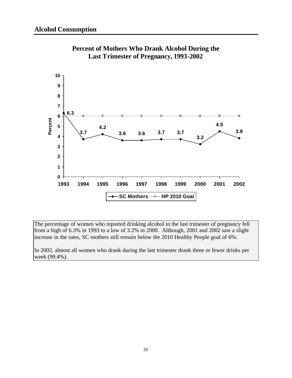



The percentage of women who reported drinking alcohol in the last trimester of pregnancy fell from a high of 6.3% in 1993 to a low of 3.2% in 2000. Although, 2001 and 2002 saw a slight increase in the rates, SC mothers still remain below the 2010 Healthy People goal of 6%.

In 2002, almost all women who drank during the last trimester drank three or fewer drinks per week (99.4%).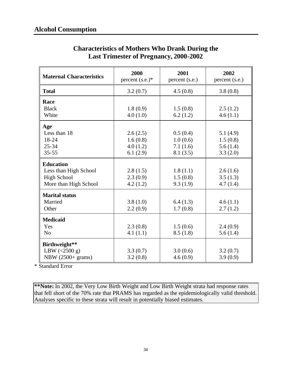| <b>Maternal Characteristics</b> | 2000<br>percent $(s.e.)^*$ | 2001<br>percent (s.e.) | 2002<br>percent (s.e.) |
|---------------------------------|----------------------------|------------------------|------------------------|
| <b>Total</b>                    | 3.2(0.7)                   | 4.5(0.8)               | 3.8(0.8)               |
| Race                            |                            |                        |                        |
| <b>Black</b>                    | 1.8(0.9)                   | 1.5(0.8)               | 2.5(1.2)               |
| White                           | 4.0(1.0)                   | 6.2(1.2)               | 4.6(1.1)               |
| Age                             |                            |                        |                        |
| Less than 18                    | 2.6(2.5)                   | 0.5(0.4)               | 5.1(4.9)               |
| 18-24                           | 1.6(0.8)                   | 1.0(0.6)               | 1.5(0.8)               |
| $25 - 34$                       | 4.0(1.2)                   | 7.1(1.6)               | 5.6(1.4)               |
| $35 - 55$                       | 6.1(2.9)                   | 8.1(3.5)               | 3.3(2.0)               |
| <b>Education</b>                |                            |                        |                        |
| Less than High School           | 2.8(1.5)                   | 1.8(1.1)               | 2.6(1.6)               |
| <b>High School</b>              | 2.3(0.9)                   | 1.5(0.8)               | 3.5(1.3)               |
| More than High School           | 4.2(1.2)                   | 9.3(1.9)               | 4.7(1.4)               |
| <b>Marital status</b>           |                            |                        |                        |
| Married                         | 3.8(1.0)                   | 6.4(1.3)               | 4.6(1.1)               |
| Other                           | 2.2(0.9)                   | 1.7(0.8)               | 2.7(1.2)               |
| <b>Medicaid</b>                 |                            |                        |                        |
| Yes                             | 2.3(0.8)                   | 1.5(0.6)               | 2.4(0.9)               |
| N <sub>o</sub>                  | 4.1(1.1)                   | 8.5(1.8)               | 5.6(1.4)               |
| Birthweight**                   |                            |                        |                        |
| LBW $(<2500 g)$                 | 3.3(0.7)                   | 3.0(0.6)               | 3.2(0.7)               |
| NBW (2500+ grams)               | 3.2(0.8)                   | 4.6(0.9)               | 3.9(0.9)               |

### **Characteristics of Mothers Who Drank During the Last Trimester of Pregnancy, 2000-2002**

\* Standard Error

**\*\*Note:** In 2002, the Very Low Birth Weight and Low Birth Weight strata had response rates that fell short of the 70% rate that PRAMS has regarded as the epidemiologically valid threshold. Analyses specific to these strata will result in potentially biased estimates.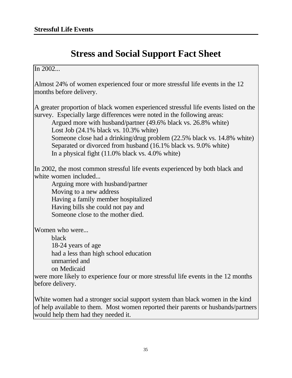# **Stress and Social Support Fact Sheet**

#### In 2002...

Almost 24% of women experienced four or more stressful life events in the 12 months before delivery.

A greater proportion of black women experienced stressful life events listed on the survey. Especially large differences were noted in the following areas:

Argued more with husband/partner (49.6% black vs. 26.8% white) Lost Job (24.1% black vs. 10.3% white) Someone close had a drinking/drug problem (22.5% black vs. 14.8% white) Separated or divorced from husband (16.1% black vs. 9.0% white) In a physical fight (11.0% black vs. 4.0% white)

In 2002, the most common stressful life events experienced by both black and white women included...

Arguing more with husband/partner Moving to a new address Having a family member hospitalized Having bills she could not pay and Someone close to the mother died.

Women who were...

black 18-24 years of age had a less than high school education unmarried and on Medicaid

were more likely to experience four or more stressful life events in the 12 months before delivery.

White women had a stronger social support system than black women in the kind of help available to them. Most women reported their parents or husbands/partners would help them had they needed it.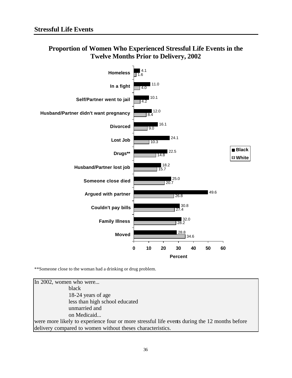

#### **Proportion of Women Who Experienced Stressful Life Events in the Twelve Months Prior to Delivery, 2002**

\*\*Someone close to the woman had a drinking or drug problem.

In 2002, women who were... black 18-24 years of age less than high school educated unmarried and on Medicaid... were more likely to experience four or more stressful life events during the 12 months before delivery compared to women without theses characteristics.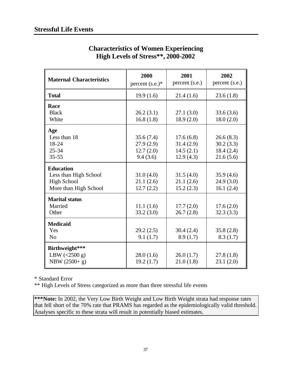| <b>Maternal Characteristics</b>                                                          | 2000<br>percent $(s.e.)^*$                      | 2001<br>percent (s.e.)                           | 2002<br>percent (s.e.)                           |
|------------------------------------------------------------------------------------------|-------------------------------------------------|--------------------------------------------------|--------------------------------------------------|
| <b>Total</b>                                                                             | 19.9(1.6)                                       | 21.4(1.6)                                        | 23.6(1.8)                                        |
| Race<br><b>Black</b><br>White                                                            | 26.2(3.1)<br>16.8(1.8)                          | 27.1(3.0)<br>18.9(2.0)                           | 33.6(3.6)<br>18.0(2.0)                           |
| Age<br>Less than 18<br>18-24<br>$25 - 34$<br>$35 - 55$                                   | 35.6(7.4)<br>27.9(2.9)<br>12.7(2.0)<br>9.4(3.6) | 17.6(6.8)<br>31.4(2.9)<br>14.5(2.1)<br>12.9(4.3) | 26.6(8.3)<br>30.2(3.3)<br>18.4(2.4)<br>21.6(5.6) |
| <b>Education</b><br>Less than High School<br><b>High School</b><br>More than High School | 31.0(4.0)<br>21.1(2.6)<br>12.7(2.2)             | 31.5(4.0)<br>21.1(2.6)<br>15.2(2.3)              | 35.9(4.6)<br>24.9(3.0)<br>16.1(2.4)              |
| <b>Marital status</b><br>Married<br>Other                                                | 11.1(1.6)<br>33.2(3.0)                          | 17.7(2.0)<br>26.7(2.8)                           | 17.6(2.0)<br>32.3(3.3)                           |
| <b>Medicaid</b><br>Yes<br>N <sub>o</sub>                                                 | 29.2(2.5)<br>9.1(1.7)                           | 30.4(2.4)<br>8.9(1.7)                            | 35.8(2.8)<br>8.3(1.7)                            |
| Birthweight***<br>LBW $(<2500 g)$<br>NBW (2500+ g)                                       | 28.0(1.6)<br>19.2(1.7)                          | 26.0(1.7)<br>21.0(1.8)                           | 27.8(1.8)<br>23.1(2.0)                           |

#### **Characteristics of Women Experiencing High Levels of Stress\*\*, 2000-2002**

\* Standard Error

\*\* High Levels of Stress categorized as more than three stressful life events

**\*\*\*Note:** In 2002, the Very Low Birth Weight and Low Birth Weight strata had response rates that fell short of the 70% rate that PRAMS has regarded as the epidemiologically valid threshold. Analyses specific to these strata will result in potentially biased estimates.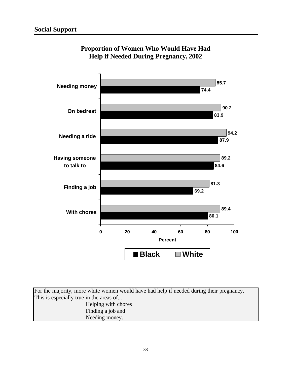

**Proportion of Women Who Would Have Had Help if Needed During Pregnancy, 2002**

For the majority, more white women would have had help if needed during their pregnancy. This is especially true in the areas of... Helping with chores Finding a job and Needing money.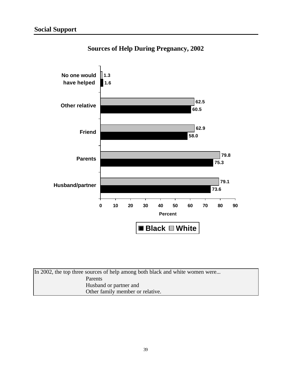

## **Sources of Help During Pregnancy, 2002**

| In 2002, the top three sources of help among both black and white women were |  |
|------------------------------------------------------------------------------|--|
| Parents                                                                      |  |
| Husband or partner and                                                       |  |
| Other family member or relative.                                             |  |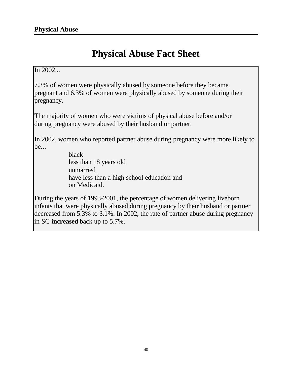# **Physical Abuse Fact Sheet**

#### In 2002...

7.3% of women were physically abused by someone before they became pregnant and 6.3% of women were physically abused by someone during their pregnancy.

The majority of women who were victims of physical abuse before and/or during pregnancy were abused by their husband or partner.

In 2002, women who reported partner abuse during pregnancy were more likely to be...

> black less than 18 years old unmarried have less than a high school education and on Medicaid.

During the years of 1993-2001, the percentage of women delivering liveborn infants that were physically abused during pregnancy by their husband or partner decreased from 5.3% to 3.1%. In 2002, the rate of partner abuse during pregnancy in SC **increased** back up to 5.7%.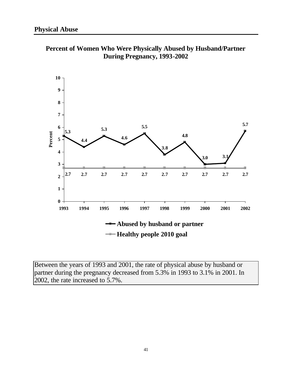

**Percent of Women Who Were Physically Abused by Husband/Partner During Pregnancy, 1993-2002**

Between the years of 1993 and 2001, the rate of physical abuse by husband or partner during the pregnancy decreased from 5.3% in 1993 to 3.1% in 2001. In 2002, the rate increased to 5.7%.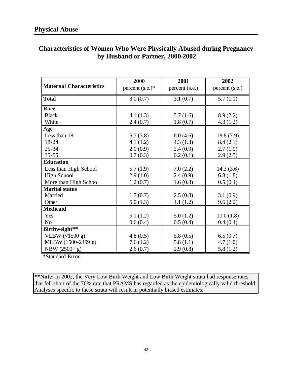|                                  | <b>Characteristics of Women Who Were Physically Abused during Pregnancy</b> |
|----------------------------------|-----------------------------------------------------------------------------|
| by Husband or Partner, 2000-2002 |                                                                             |

|                                 | 2000               | 2001           | 2002           |
|---------------------------------|--------------------|----------------|----------------|
| <b>Maternal Characteristics</b> | percent $(s.e.)^*$ | percent (s.e.) | percent (s.e.) |
| <b>Total</b>                    | 3.0(0.7)           | 3.1(0.7)       | 5.7(1.1)       |
| Race                            |                    |                |                |
| <b>Black</b>                    | 4.1(1.3)           | 5.7(1.6)       | 8.9(2.2)       |
| White                           | 2.4(0.7)           | 1.8(0.7)       | 4.3(1.2)       |
| Age                             |                    |                |                |
| Less than 18                    | 6.7(3.8)           | 6.0(4.6)       | 18.8(7.9)      |
| 18-24                           | 4.1(1.2)           | 4.3(1.3)       | 8.4(2.1)       |
| $25 - 34$                       | 2.0(0.9)           | 2.4(0.9)       | 2.7(1.0)       |
| $35 - 55$                       | 0.7(0.3)           | 0.2(0.1)       | 2.9(2.5)       |
| <b>Education</b>                |                    |                |                |
| Less than High School           | 5.7(1.9)           | 7.0(2.2)       | 14.3(3.6)      |
| <b>High School</b>              | 2.9(1.0)           | 2.4(0.9)       | 6.8(1.8)       |
| More than High School           | 1.2(0.7)           | 1.6(0.8)       | 0.5(0.4)       |
| <b>Marital status</b>           |                    |                |                |
| Married                         | 1.7(0.7)           | 2.5(0.8)       | 3.1(0.9)       |
| Other                           | 5.0(1.3)           | 4.1(1.2)       | 9.6(2.2)       |
| <b>Medicaid</b>                 |                    |                |                |
| Yes                             | 5.1(1.2)           | 5.0(1.2)       | 10.0(1.8)      |
| N <sub>o</sub>                  | 0.6(0.4)           | 0.5(0.4)       | 0.4(0.4)       |
| Birthweight**                   |                    |                |                |
| VLBW (<1500 g)                  | 4.8(0.5)           | 5.8(0.5)       | 6.5(0.7)       |
| MLBW (1500-2499 g)              | 7.6(1.2)           | 5.8(1.1)       | 4.7(1.0)       |
| NBW $(2500+ g)$                 | 2.6(0.7)           | 2.9(0.8)       | 5.8(1.2)       |

\*Standard Error

**\*\*Note:** In 2002, the Very Low Birth Weight and Low Birth Weight strata had response rates that fell short of the 70% rate that PRAMS has regarded as the epidemiologically valid threshold. Analyses specific to these strata will result in potentially biased estimates.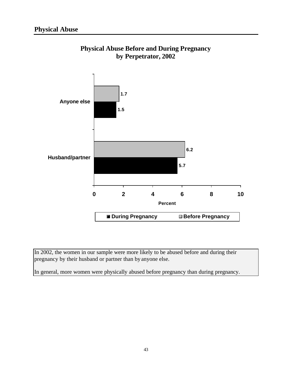

### **Physical Abuse Before and During Pregnancy by Perpetrator, 2002**

In 2002, the women in our sample were more likely to be abused before and during their pregnancy by their husband or partner than by anyone else.

In general, more women were physically abused before pregnancy than during pregnancy.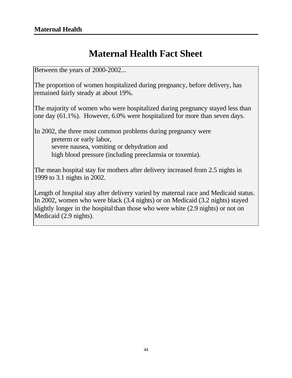# **Maternal Health Fact Sheet**

Between the years of 2000-2002...

The proportion of women hospitalized during pregnancy, before delivery, has remained fairly steady at about 19%.

The majority of women who were hospitalized during pregnancy stayed less than one day (61.1%). However, 6.0% were hospitalized for more than seven days.

In 2002, the three most common problems during pregnancy were preterm or early labor, severe nausea, vomiting or dehydration and high blood pressure (including preeclamsia or toxemia).

The mean hospital stay for mothers after delivery increased from 2.5 nights in 1999 to 3.1 nights in 2002.

Length of hospital stay after delivery varied by maternal race and Medicaid status. In 2002, women who were black (3.4 nights) or on Medicaid (3.2 nights) stayed slightly longer in the hospital than those who were white (2.9 nights) or not on Medicaid (2.9 nights).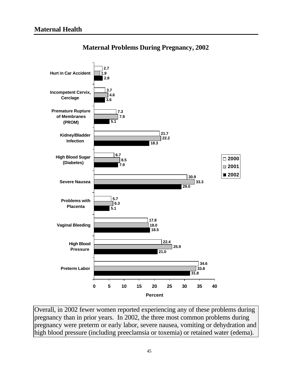

#### **Maternal Problems During Pregnancy, 2002**

Overall, in 2002 fewer women reported experiencing any of these problems during pregnancy than in prior years. In 2002, the three most common problems during pregnancy were preterm or early labor, severe nausea, vomiting or dehydration and high blood pressure (including preeclamsia or toxemia) or retained water (edema).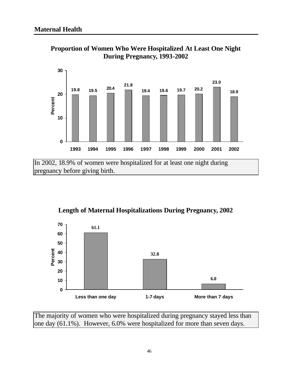

**Proportion of Women Who Were Hospitalized At Least One Night During Pregnancy, 1993-2002**

In 2002, 18.9% of women were hospitalized for at least one night during pregnancy before giving birth.

**Length of Maternal Hospitalizations During Pregnancy, 2002**



The majority of women who were hospitalized during pregnancy stayed less than one day (61.1%). However, 6.0% were hospitalized for more than seven days.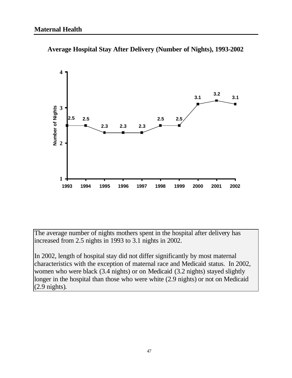

**Average Hospital Stay After Delivery (Number of Nights), 1993-2002**

The average number of nights mothers spent in the hospital after delivery has increased from 2.5 nights in 1993 to 3.1 nights in 2002.

In 2002, length of hospital stay did not differ significantly by most maternal characteristics with the exception of maternal race and Medicaid status. In 2002, women who were black (3.4 nights) or on Medicaid (3.2 nights) stayed slightly longer in the hospital than those who were white (2.9 nights) or not on Medicaid (2.9 nights).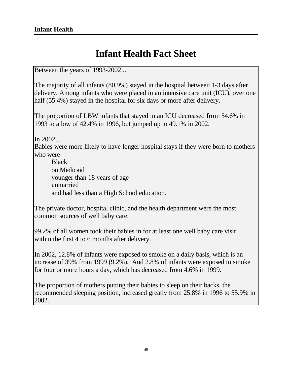# **Infant Health Fact Sheet**

Between the years of 1993-2002...

The majority of all infants (80.9%) stayed in the hospital between 1-3 days after delivery. Among infants who were placed in an intensive care unit (ICU), over one half (55.4%) stayed in the hospital for six days or more after delivery.

The proportion of LBW infants that stayed in an ICU decreased from 54.6% in 1993 to a low of 42.4% in 1996, but jumped up to 49.1% in 2002.

In 2002...

Babies were more likely to have longer hospital stays if they were born to mothers who were

Black on Medicaid younger than 18 years of age unmarried and had less than a High School education.

The private doctor, hospital clinic, and the health department were the most common sources of well baby care.

99.2% of all women took their babies in for at least one well baby care visit within the first 4 to 6 months after delivery.

In 2002, 12.8% of infants were exposed to smoke on a daily basis, which is an increase of 39% from 1999 (9.2%). And 2.8% of infants were exposed to smoke for four or more hours a day, which has decreased from 4.6% in 1999.

The proportion of mothers putting their babies to sleep on their backs, the recommended sleeping position, increased greatly from 25.8% in 1996 to 55.9% in 2002.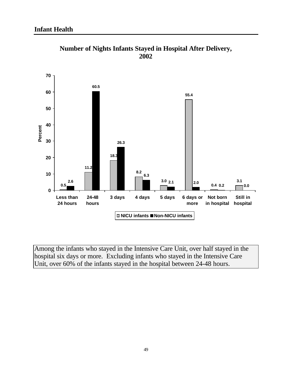

**Number of Nights Infants Stayed in Hospital After Delivery, 2002**

Among the infants who stayed in the Intensive Care Unit, over half stayed in the hospital six days or more. Excluding infants who stayed in the Intensive Care Unit, over 60% of the infants stayed in the hospital between 24-48 hours.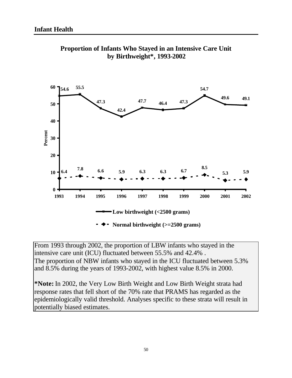

**Proportion of Infants Who Stayed in an Intensive Care Unit by Birthweight\*, 1993-2002**

From 1993 through 2002, the proportion of LBW infants who stayed in the intensive care unit (ICU) fluctuated between 55.5% and 42.4% . The proportion of NBW infants who stayed in the ICU fluctuated between 5.3% and 8.5% during the years of 1993-2002, with highest value 8.5% in 2000.

**\*Note:** In 2002, the Very Low Birth Weight and Low Birth Weight strata had response rates that fell short of the 70% rate that PRAMS has regarded as the epidemiologically valid threshold. Analyses specific to these strata will result in potentially biased estimates.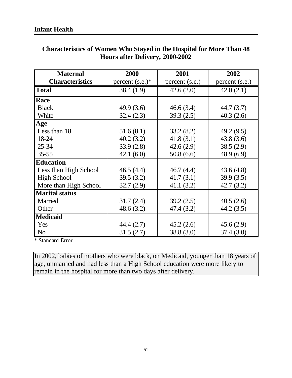| <b>Maternal</b>        | 2000               | 2001           | 2002           |
|------------------------|--------------------|----------------|----------------|
| <b>Characteristics</b> | percent $(s.e.)^*$ | percent (s.e.) | percent (s.e.) |
| <b>Total</b>           | 38.4(1.9)          | 42.6(2.0)      | 42.0(2.1)      |
| <b>Race</b>            |                    |                |                |
| <b>Black</b>           | 49.9(3.6)          | 46.6(3.4)      | 44.7 (3.7)     |
| White                  | 32.4(2.3)          | 39.3(2.5)      | 40.3(2.6)      |
| Age                    |                    |                |                |
| Less than 18           | 51.6(8.1)          | 33.2(8.2)      | 49.2 (9.5)     |
| 18-24                  | 40.2(3.2)          | 41.8(3.1)      | 43.8(3.6)      |
| $25 - 34$              | 33.9(2.8)          | 42.6(2.9)      | 38.5(2.9)      |
| $35 - 55$              | 42.1(6.0)          | 50.8(6.6)      | 48.9 (6.9)     |
| <b>Education</b>       |                    |                |                |
| Less than High School  | 46.5(4.4)          | 46.7(4.4)      | 43.6(4.8)      |
| <b>High School</b>     | 39.5(3.2)          | 41.7(3.1)      | 39.9(3.5)      |
| More than High School  | 32.7(2.9)          | 41.1(3.2)      | 42.7(3.2)      |
| <b>Marital status</b>  |                    |                |                |
| Married                | 31.7(2.4)          | 39.2(2.5)      | 40.5(2.6)      |
| Other                  | 48.6(3.2)          | 47.4 (3.2)     | 44.2 (3.5)     |
| <b>Medicaid</b>        |                    |                |                |
| Yes                    | 44.4 (2.7)         | 45.2(2.6)      | 45.6(2.9)      |
| N <sub>o</sub>         | 31.5(2.7)          | 38.8 (3.0)     | 37.4(3.0)      |

### **Characteristics of Women Who Stayed in the Hospital for More Than 48 Hours after Delivery, 2000-2002**

\* Standard Error

In 2002, babies of mothers who were black, on Medicaid, younger than 18 years of age, unmarried and had less than a High School education were more likely to remain in the hospital for more than two days after delivery.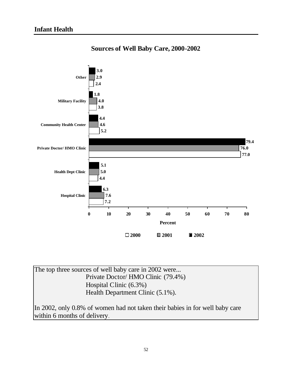

#### **Sources of Well Baby Care, 2000-2002**

The top three sources of well baby care in 2002 were... Private Doctor/ HMO Clinic (79.4%) Hospital Clinic (6.3%) Health Department Clinic (5.1%).

In 2002, only 0.8% of women had not taken their babies in for well baby care within 6 months of delivery.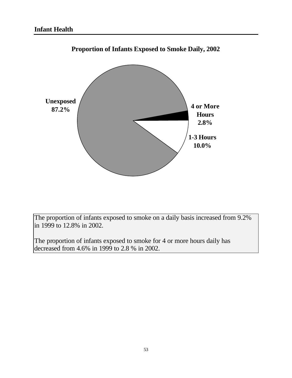

**Proportion of Infants Exposed to Smoke Daily, 2002**

The proportion of infants exposed to smoke on a daily basis increased from 9.2% in 1999 to 12.8% in 2002.

The proportion of infants exposed to smoke for 4 or more hours daily has decreased from 4.6% in 1999 to 2.8 % in 2002.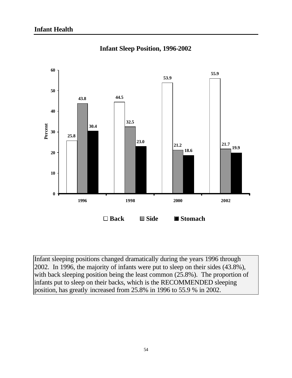

**Infant Sleep Position, 1996-2002**

Infant sleeping positions changed dramatically during the years 1996 through 2002. In 1996, the majority of infants were put to sleep on their sides (43.8%), with back sleeping position being the least common (25.8%). The proportion of infants put to sleep on their backs, which is the RECOMMENDED sleeping position, has greatly increased from 25.8% in 1996 to 55.9 % in 2002.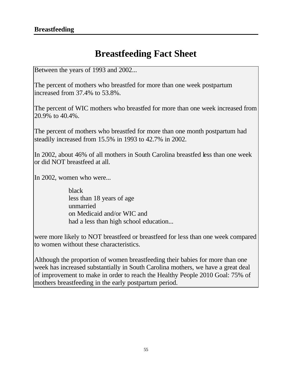# **Breastfeeding Fact Sheet**

Between the years of 1993 and 2002...

The percent of mothers who breastfed for more than one week postpartum increased from 37.4% to 53.8%.

The percent of WIC mothers who breastfed for more than one week increased from 20.9% to 40.4%.

The percent of mothers who breastfed for more than one month postpartum had steadily increased from 15.5% in 1993 to 42.7% in 2002.

In 2002, about 46% of all mothers in South Carolina breastfed less than one week or did NOT breastfeed at all.

In 2002, women who were...

black less than 18 years of age unmarried on Medicaid and/or WIC and had a less than high school education...

were more likely to NOT breastfeed or breastfeed for less than one week compared to women without these characteristics.

Although the proportion of women breastfeeding their babies for more than one week has increased substantially in South Carolina mothers, we have a great deal of improvement to make in order to reach the Healthy People 2010 Goal: 75% of mothers breastfeeding in the early postpartum period.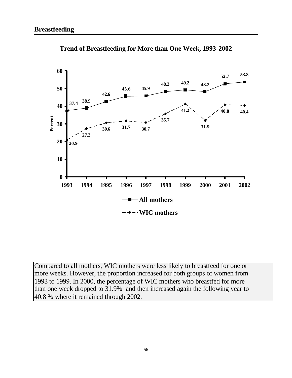

**Trend of Breastfeeding for More than One Week, 1993-2002**

Compared to all mothers, WIC mothers were less likely to breastfeed for one or more weeks. However, the proportion increased for both groups of women from 1993 to 1999. In 2000, the percentage of WIC mothers who breastfed for more than one week dropped to 31.9% and then increased again the following year to 40.8 % where it remained through 2002.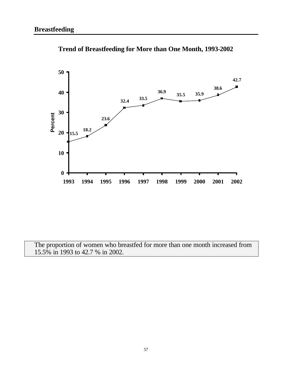

**Trend of Breastfeeding for More than One Month, 1993-2002**

The proportion of women who breastfed for more than one month increased from 15.5% in 1993 to 42.7 % in 2002.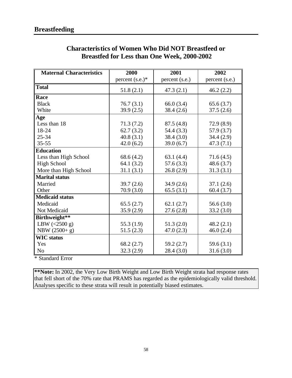| <b>Maternal Characteristics</b> | 2000               | 2001           | 2002           |
|---------------------------------|--------------------|----------------|----------------|
|                                 | percent $(s.e.)^*$ | percent (s.e.) | percent (s.e.) |
| <b>Total</b>                    | 51.8(2.1)          | 47.3(2.1)      | 46.2(2.2)      |
| Race                            |                    |                |                |
| <b>Black</b>                    | 76.7(3.1)          | 66.0(3.4)      | 65.6(3.7)      |
| White                           | 39.9(2.5)          | 38.4(2.6)      | 37.5(2.6)      |
| Age                             |                    |                |                |
| Less than 18                    | 71.3(7.2)          | 87.5(4.8)      | 72.9(8.9)      |
| 18-24                           | 62.7(3.2)          | 54.4 (3.3)     | 57.9 (3.7)     |
| $25 - 34$                       | 40.8(3.1)          | 38.4(3.0)      | 34.4(2.9)      |
| $35 - 55$                       | 42.0(6.2)          | 39.0(6.7)      | 47.3(7.1)      |
| <b>Education</b>                |                    |                |                |
| Less than High School           | 68.6(4.2)          | 63.1(4.4)      | 71.6(4.5)      |
| <b>High School</b>              | 64.1(3.2)          | 57.6(3.3)      | 48.6(3.7)      |
| More than High School           | 31.1(3.1)          | 26.8(2.9)      | 31.3(3.1)      |
| <b>Marital status</b>           |                    |                |                |
| Married                         | 39.7(2.6)          | 34.9(2.6)      | 37.1(2.6)      |
| Other                           | 70.9(3.0)          | 65.5(3.1)      | 60.4(3.7)      |
| <b>Medicaid status</b>          |                    |                |                |
| Medicaid                        | 65.5(2.7)          | 62.1(2.7)      | 56.6 $(3.0)$   |
| Not Medicaid                    | 35.9(2.9)          | 27.6(2.8)      | 33.2(3.0)      |
| Birthweight**                   |                    |                |                |
| LBW $(<2500 g)$                 | 55.3 $(1.9)$       | 51.3(2.0)      | 48.2(2.1)      |
| NBW (2500+ g)                   | 51.5(2.3)          | 47.0(2.3)      | 46.0(2.4)      |
| <b>WIC</b> status               |                    |                |                |
| Yes                             | 68.2(2.7)          | 59.2(2.7)      | 59.6(3.1)      |
| N <sub>0</sub>                  | 32.3(2.9)          | 28.4(3.0)      | 31.6(3.0)      |

### **Characteristics of Women Who Did NOT Breastfeed or Breastfed for Less than One Week, 2000-2002**

\* Standard Error

**\*\*Note:** In 2002, the Very Low Birth Weight and Low Birth Weight strata had response rates that fell short of the 70% rate that PRAMS has regarded as the epidemiologically valid threshold. Analyses specific to these strata will result in potentially biased estimates.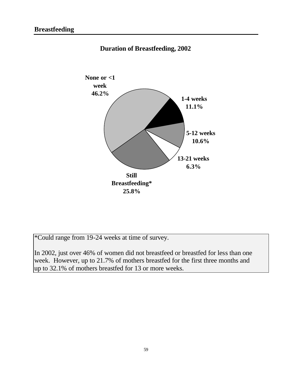

**Duration of Breastfeeding, 2002**

\*Could range from 19-24 weeks at time of survey.

In 2002, just over 46% of women did not breastfeed or breastfed for less than one week. However, up to 21.7% of mothers breastfed for the first three months and up to 32.1% of mothers breastfed for 13 or more weeks.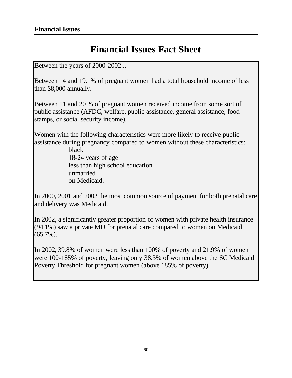## **Financial Issues Fact Sheet**

Between the years of 2000-2002...

Between 14 and 19.1% of pregnant women had a total household income of less than \$8,000 annually.

Between 11 and 20 % of pregnant women received income from some sort of public assistance (AFDC, welfare, public assistance, general assistance, food stamps, or social security income).

Women with the following characteristics were more likely to receive public assistance during pregnancy compared to women without these characteristics:

> black 18-24 years of age less than high school education unmarried on Medicaid.

In 2000, 2001 and 2002 the most common source of payment for both prenatal care and delivery was Medicaid.

In 2002, a significantly greater proportion of women with private health insurance (94.1%) saw a private MD for prenatal care compared to women on Medicaid (65.7%).

In 2002, 39.8% of women were less than 100% of poverty and 21.9% of women were 100-185% of poverty, leaving only 38.3% of women above the SC Medicaid Poverty Threshold for pregnant women (above 185% of poverty).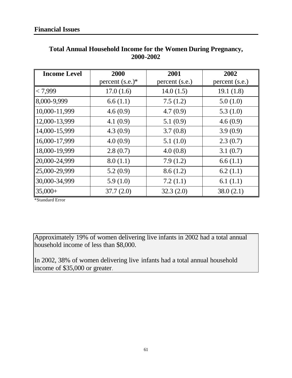| <b>Income Level</b> | 2000               | 2001           | 2002           |
|---------------------|--------------------|----------------|----------------|
|                     | percent $(s.e.)^*$ | percent (s.e.) | percent (s.e.) |
| < 7,999             | 17.0(1.6)          | 14.0(1.5)      | 19.1(1.8)      |
| 8,000-9,999         | 6.6(1.1)           | 7.5(1.2)       | 5.0(1.0)       |
| 10,000-11,999       | 4.6(0.9)           | 4.7(0.9)       | 5.3(1.0)       |
| 12,000-13,999       | 4.1(0.9)           | 5.1(0.9)       | 4.6(0.9)       |
| 14,000-15,999       | 4.3(0.9)           | 3.7(0.8)       | 3.9(0.9)       |
| 16,000-17,999       | 4.0(0.9)           | 5.1(1.0)       | 2.3(0.7)       |
| 18,000-19,999       | 2.8(0.7)           | 4.0(0.8)       | 3.1(0.7)       |
| 20,000-24,999       | 8.0(1.1)           | 7.9(1.2)       | 6.6(1.1)       |
| 25,000-29,999       | 5.2(0.9)           | 8.6(1.2)       | 6.2(1.1)       |
| 30,000-34,999       | 5.9(1.0)           | 7.2(1.1)       | 6.1 $(1.1)$    |
| $ 35,000+$          | 37.7(2.0)          | 32.3(2.0)      | 38.0(2.1)      |

#### **Total Annual Household Income for the Women During Pregnancy, 2000-2002**

\*Standard Error

Approximately 19% of women delivering live infants in 2002 had a total annual household income of less than \$8,000.

In 2002, 38% of women delivering live infants had a total annual household income of \$35,000 or greater.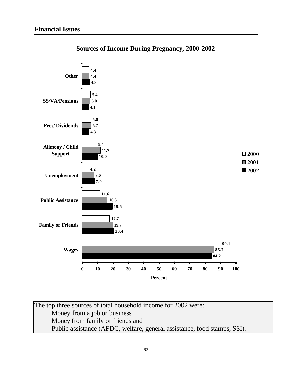

**Sources of Income During Pregnancy, 2000-2002**

The top three sources of total household income for 2002 were: Money from a job or business Money from family or friends and Public assistance (AFDC, welfare, general assistance, food stamps, SSI).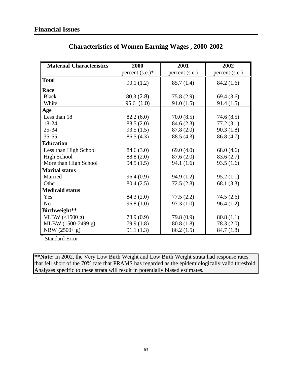| <b>Maternal Characteristics</b> | 2000               | 2001           | 2002           |
|---------------------------------|--------------------|----------------|----------------|
|                                 | percent $(s.e.)^*$ | percent (s.e.) | percent (s.e.) |
| <b>Total</b>                    | 90.1(1.2)          | 85.7(1.4)      | 84.2(1.6)      |
| Race                            |                    |                |                |
| <b>Black</b>                    | 80.3(2.8)          | 75.8(2.9)      | 69.4(3.6)      |
| White                           | 95.6 (1.0)         | 91.0(1.5)      | 91.4(1.5)      |
| Age                             |                    |                |                |
| Less than 18                    | 82.2(6.0)          | 70.0(8.5)      | 74.6(8.5)      |
| 18-24                           | 88.5 (2.0)         | 84.6(2.3)      | 77.2(3.1)      |
| $25 - 34$                       | 93.5(1.5)          | 87.8 (2.0)     | 90.3(1.8)      |
| $35 - 55$                       | 86.5(4.3)          | 88.5 (4.3)     | 86.8 (4.7)     |
| <b>Education</b>                |                    |                |                |
| Less than High School           | 84.6 (3.0)         | 69.0 $(4.0)$   | 68.0(4.6)      |
| <b>High School</b>              | 88.8 (2.0)         | 87.6(2.0)      | 83.6(2.7)      |
| More than High School           | 94.5(1.5)          | 94.1(1.6)      | 93.5(1.6)      |
| <b>Marital status</b>           |                    |                |                |
| Married                         | 96.4(0.9)          | 94.9(1.2)      | 95.2(1.1)      |
| Other                           | 80.4 (2.5)         | 72.5(2.8)      | 68.1 (3.3)     |
| <b>Medicaid status</b>          |                    |                |                |
| Yes                             | 84.3 (2.0)         | 77.5(2.2)      | 74.5(2.6)      |
| N <sub>0</sub>                  | 96.8(1.0)          | 97.3(1.0)      | 96.4(1.2)      |
| Birthweight**                   |                    |                |                |
| VLBW $(\leq 1500 \text{ g})$    | 78.9 (0.9)         | 79.8 (0.9)     | 80.8(1.1)      |
| MLBW (1500-2499 g)              | 79.9 (1.8)         | 80.8(1.8)      | 78.3 (2.0)     |
| NBW (2500+ g)                   | 91.1(1.3)          | 86.2(1.5)      | 84.7(1.8)      |

### **Characteristics of Women Earning Wages , 2000-2002**

Standard Error

**\*\*Note:** In 2002, the Very Low Birth Weight and Low Birth Weight strata had response rates that fell short of the 70% rate that PRAMS has regarded as the epidemiologically valid threshold. Analyses specific to these strata will result in potentially biased estimates.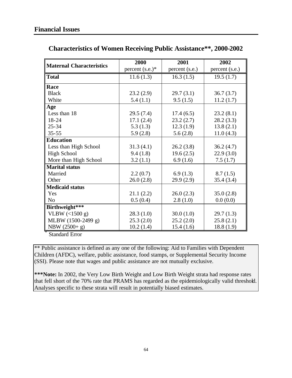| <b>Maternal Characteristics</b> | 2000               | 2001           | 2002           |
|---------------------------------|--------------------|----------------|----------------|
|                                 | percent $(s.e.)^*$ | percent (s.e.) | percent (s.e.) |
| <b>Total</b>                    | 11.6(1.3)          | 16.3(1.5)      | 19.5(1.7)      |
| Race                            |                    |                |                |
| <b>Black</b>                    | 23.2(2.9)          | 29.7(3.1)      | 36.7(3.7)      |
| White                           | 5.4(1.1)           | 9.5(1.5)       | 11.2(1.7)      |
| Age                             |                    |                |                |
| Less than 18                    | 29.5(7.4)          | 17.4(6.5)      | 23.2(8.1)      |
| 18-24                           | 17.1(2.4)          | 23.2(2.7)      | 28.2(3.3)      |
| $25 - 34$                       | 5.3(1.3)           | 12.3(1.9)      | 13.8(2.1)      |
| $35 - 55$                       | 5.9(2.8)           | 5.6(2.8)       | 11.0(4.3)      |
| <b>Education</b>                |                    |                |                |
| Less than High School           | 31.3(4.1)          | 26.2(3.8)      | 36.2(4.7)      |
| <b>High School</b>              | 9.4(1.8)           | 19.6(2.5)      | 22.9(3.0)      |
| More than High School           | 3.2(1.1)           | 6.9(1.6)       | 7.5(1.7)       |
| <b>Marital status</b>           |                    |                |                |
| Married                         | 2.2(0.7)           | 6.9(1.3)       | 8.7(1.5)       |
| Other                           | 26.0(2.8)          | 29.9(2.9)      | 35.4(3.4)      |
| <b>Medicaid status</b>          |                    |                |                |
| Yes                             | 21.1(2.2)          | 26.0(2.3)      | 35.0(2.8)      |
| N <sub>0</sub>                  | 0.5(0.4)           | 2.8(1.0)       | 0.0(0.0)       |
| Birthweight***                  |                    |                |                |
| VLBW $($ 1500 g)                | 28.3(1.0)          | 30.0(1.0)      | 29.7(1.3)      |
| MLBW (1500-2499 g)              | 25.3(2.0)          | 25.2(2.0)      | 25.8(2.1)      |
| NBW (2500+ g)                   | 10.2(1.4)          | 15.4(1.6)      | 18.8(1.9)      |
| $Standard Emor$                 |                    |                |                |

### **Characteristics of Women Receiving Public Assistance\*\*, 2000-2002**

Standard Error

\*\* Public assistance is defined as any one of the following: Aid to Families with Dependent Children (AFDC), welfare, public assistance, food stamps, or Supplemental Security Income (SSI). Please note that wages and public assistance are not mutually exclusive.

**\*\*\*Note:** In 2002, the Very Low Birth Weight and Low Birth Weight strata had response rates that fell short of the 70% rate that PRAMS has regarded as the epidemiologically valid threshold. Analyses specific to these strata will result in potentially biased estimates.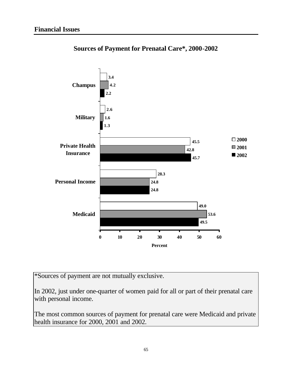

**Sources of Payment for Prenatal Care\*, 2000-2002**

\*Sources of payment are not mutually exclusive.

In 2002, just under one-quarter of women paid for all or part of their prenatal care with personal income.

The most common sources of payment for prenatal care were Medicaid and private health insurance for 2000, 2001 and 2002.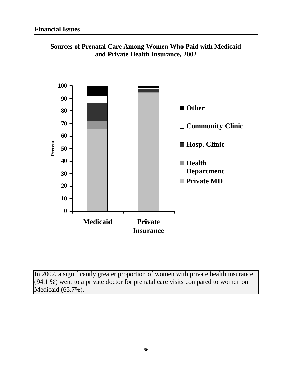

**Sources of Prenatal Care Among Women Who Paid with Medicaid and Private Health Insurance, 2002**

In 2002, a significantly greater proportion of women with private health insurance (94.1 %) went to a private doctor for prenatal care visits compared to women on Medicaid (65.7%).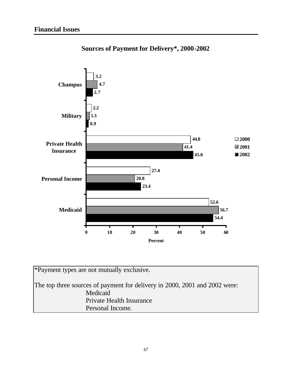

### **Sources of Payment for Delivery\*, 2000-2002**

| *Payment types are not mutually exclusive.                                 |
|----------------------------------------------------------------------------|
| The top three sources of payment for delivery in 2000, 2001 and 2002 were: |
| Medicaid                                                                   |
| Private Health Insurance                                                   |
| Personal Income.                                                           |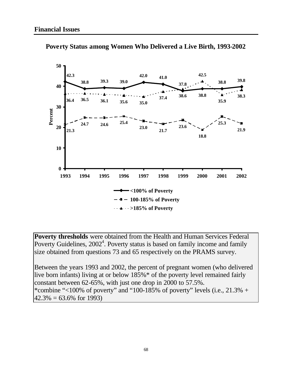

**Poverty Status among Women Who Delivered a Live Birth, 1993-2002** 

**Poverty thresholds** were obtained from the Health and Human Services Federal Poverty Guidelines,  $2002<sup>4</sup>$ . Poverty status is based on family income and family size obtained from questions 73 and 65 respectively on the PRAMS survey.

Between the years 1993 and 2002, the percent of pregnant women (who delivered live born infants) living at or below 185%\* of the poverty level remained fairly constant between 62-65%, with just one drop in 2000 to 57.5%. \*combine "<100% of poverty" and "100-185% of poverty" levels (i.e.,  $21.3%$  +  $42.3\% = 63.6\%$  for 1993)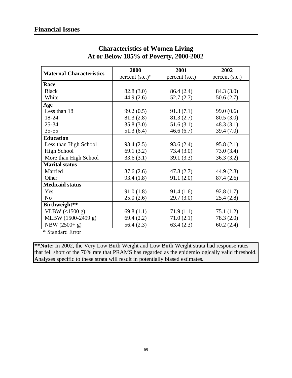| <b>Maternal Characteristics</b> | 2000               | 2001           | 2002           |
|---------------------------------|--------------------|----------------|----------------|
|                                 | percent $(s.e.)^*$ | percent (s.e.) | percent (s.e.) |
| Race                            |                    |                |                |
| <b>Black</b>                    | 82.8 (3.0)         | 86.4 (2.4)     | 84.3 (3.0)     |
| White                           | 44.9 (2.6)         | 52.7(2.7)      | 50.6(2.7)      |
| Age                             |                    |                |                |
| Less than 18                    | 99.2(0.5)          | 91.3(7.1)      | 99.0(0.6)      |
| 18-24                           | 81.3(2.8)          | 81.3(2.7)      | 80.5(3.0)      |
| $25 - 34$                       | 35.8(3.0)          | 51.6(3.1)      | 48.3(3.1)      |
| $35 - 55$                       | 51.3(6.4)          | 46.6(6.7)      | 39.4 (7.0)     |
| <b>Education</b>                |                    |                |                |
| Less than High School           | 93.4(2.5)          | 93.6(2.4)      | 95.8(2.1)      |
| <b>High School</b>              | 69.1 $(3.2)$       | 73.4(3.0)      | 73.0(3.4)      |
| More than High School           | 33.6(3.1)          | 39.1(3.3)      | 36.3(3.2)      |
| <b>Marital status</b>           |                    |                |                |
| Married                         | 37.6(2.6)          | 47.8(2.7)      | 44.9(2.8)      |
| Other                           | 93.4(1.8)          | 91.1(2.0)      | 87.4 (2.6)     |
| <b>Medicaid status</b>          |                    |                |                |
| Yes                             | 91.0(1.8)          | 91.4(1.6)      | 92.8(1.7)      |
| N <sub>o</sub>                  | 25.0(2.6)          | 29.7(3.0)      | 25.4(2.8)      |
| Birthweight**                   |                    |                |                |
| VLBW $($ 1500 g)                | 69.8 $(1.1)$       | 71.9(1.1)      | 75.1(1.2)      |
| MLBW (1500-2499 g)              | 69.4(2.2)          | 71.0(2.1)      | 78.3 (2.0)     |
| NBW $(2500+ g)$                 | 56.4(2.3)          | 63.4(2.3)      | 60.2(2.4)      |

### **Characteristics of Women Living At or Below 185% of Poverty, 2000-2002**

\* Standard Error

**\*\*Note:** In 2002, the Very Low Birth Weight and Low Birth Weight strata had response rates that fell short of the 70% rate that PRAMS has regarded as the epidemiologically valid threshold. Analyses specific to these strata will result in potentially biased estimates.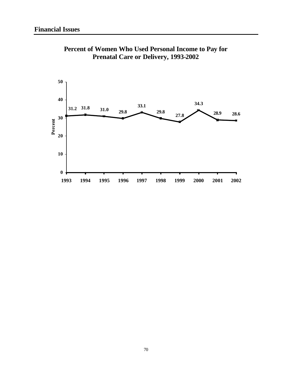

**Percent of Women Who Used Personal Income to Pay for Prenatal Care or Delivery, 1993-2002**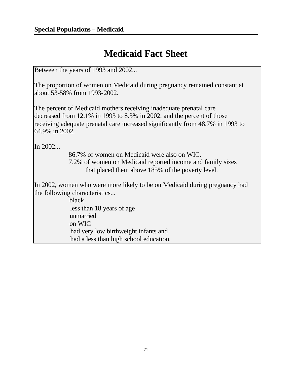# **Medicaid Fact Sheet**

Between the years of 1993 and 2002...

The proportion of women on Medicaid during pregnancy remained constant at about 53-58% from 1993-2002.

The percent of Medicaid mothers receiving inadequate prenatal care decreased from 12.1% in 1993 to 8.3% in 2002, and the percent of those receiving adequate prenatal care increased significantly from 48.7% in 1993 to 64.9% in 2002.

In 2002...

86.7% of women on Medicaid were also on WIC. 7.2% of women on Medicaid reported income and family sizes that placed them above 185% of the poverty level.

In 2002, women who were more likely to be on Medicaid during pregnancy had the following characteristics...

> black less than 18 years of age unmarried on WIC had very low birthweight infants and had a less than high school education.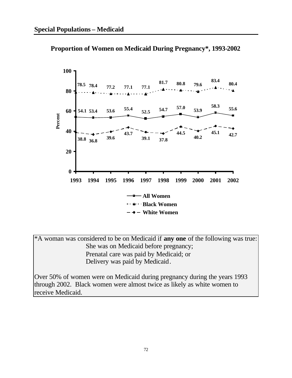

**Proportion of Women on Medicaid During Pregnancy\*, 1993-2002**

\*A woman was considered to be on Medicaid if **any one** of the following was true: She was on Medicaid before pregnancy; Prenatal care was paid by Medicaid; or Delivery was paid by Medicaid.

Over 50% of women were on Medicaid during pregnancy during the years 1993 through 2002. Black women were almost twice as likely as white women to receive Medicaid.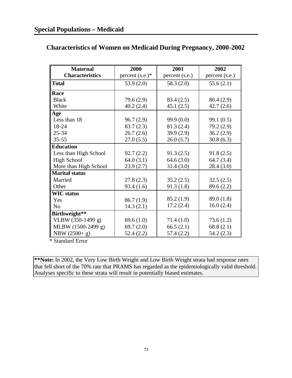| <b>Maternal</b>        | 2000               | 2001           | 2002           |
|------------------------|--------------------|----------------|----------------|
| <b>Characteristics</b> | percent $(s.e.)^*$ | percent (s.e.) | percent (s.e.) |
| <b>Total</b>           | 53.9(2.0)          | 58.3 (2.0)     | 55.6(2.1)      |
| Race                   |                    |                |                |
| <b>Black</b>           | 79.6 (2.9)         | 83.4 (2.5)     | 80.4 (2.9)     |
| White                  | 40.2 (2.4)         | 45.1(2.5)      | 42.7(2.6)      |
| Age                    |                    |                |                |
| Less than 18           | 96.7(2.9)          | 99.9(0.0)      | 99.1 (0.5)     |
| 18-24                  | 83.7(2.3)          | 81.3(2.4)      | 79.2 (2.9)     |
| $25 - 34$              | 26.7(2.6)          | 39.9(2.9)      | 36.2(2.9)      |
| $35 - 55$              | 27.0(5.5)          | 26.0(5.7)      | 30.8(6.3)      |
| <b>Education</b>       |                    |                |                |
| Less than High School  | 92.7(2.2)          | 91.3(2.5)      | 91.8(2.5)      |
| <b>High School</b>     | 64.0(3.1)          | 64.6(3.0)      | 64.7(3.4)      |
| More than High School  | 23.9(2.7)          | 31.4(3.0)      | 28.4(3.0)      |
| <b>Marital status</b>  |                    |                |                |
| Married                | 27.8(2.3)          | 35.2(2.5)      | 32.5(2.5)      |
| Other                  | 93.4(1.6)          | 91.3(1.8)      | 89.6 (2.2)     |
| <b>WIC</b> status      |                    |                |                |
| Yes                    | 86.7(1.9)          | 85.2(1.9)      | 89.0 (1.8)     |
| N <sub>o</sub>         | 14.3(2.1)          | 17.2(2.4)      | 16.0(2.4)      |
| Birthweight**          |                    |                |                |
| VLBW (350-1499 g)      | 69.6(1.0)          | 71.4(1.0)      | 73.6(1.2)      |
| MLBW (1500-2499 g)     | 69.7(2.0)          | 66.5(2.1)      | 68.8(2.1)      |
| NBW $(2500+ g)$        | 52.4(2.2)          | 57.4 (2.2)     | 54.2 (2.3)     |

#### **Characteristics of Women on Medicaid During Pregnancy, 2000-2002**

\* Standard Error

**\*\*Note:** In 2002, the Very Low Birth Weight and Low Birth Weight strata had response rates that fell short of the 70% rate that PRAMS has regarded as the epidemiologically valid threshold. Analyses specific to these strata will result in potentially biased estimates.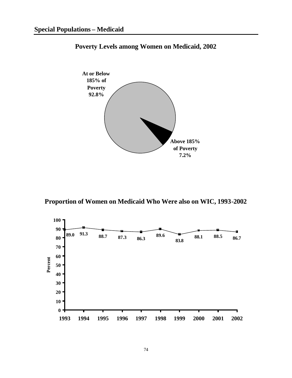

**Poverty Levels among Women on Medicaid, 2002**

**Proportion of Women on Medicaid Who Were also on WIC, 1993-2002**

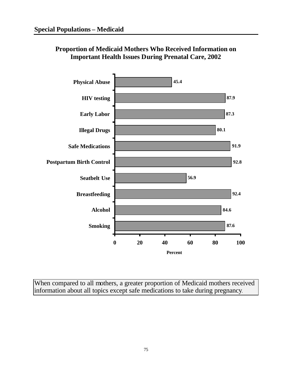

### **Proportion of Medicaid Mothers Who Received Information on Important Health Issues During Prenatal Care, 2002**

When compared to all mothers, a greater proportion of Medicaid mothers received information about all topics except safe medications to take during pregnancy.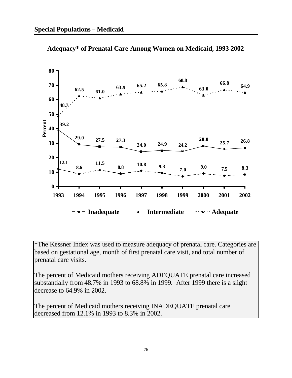

**Adequacy\* of Prenatal Care Among Women on Medicaid, 1993-2002**

\*The Kessner Index was used to measure adequacy of prenatal care. Categories are based on gestational age, month of first prenatal care visit, and total number of prenatal care visits.

The percent of Medicaid mothers receiving ADEQUATE prenatal care increased substantially from 48.7% in 1993 to 68.8% in 1999. After 1999 there is a slight decrease to 64.9% in 2002.

The percent of Medicaid mothers receiving INADEQUATE prenatal care decreased from 12.1% in 1993 to 8.3% in 2002.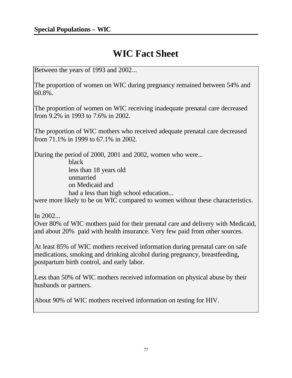# **WIC Fact Sheet**

Between the years of 1993 and 2002...

The proportion of women on WIC during pregnancy remained between 54% and 60.8%.

The proportion of women on WIC receiving inadequate prenatal care decreased from 9.2% in 1993 to 7.6% in 2002.

The proportion of WIC mothers who received adequate prenatal care decreased from 71.1% in 1999 to 67.1% in 2002.

During the period of 2000, 2001 and 2002, women who were...

black

less than 18 years old unmarried on Medicaid and had a less than high school education...

were more likely to be on WIC compared to women without these characteristics.

In 2002...

Over 80% of WIC mothers paid for their prenatal care and delivery with Medicaid, and about 20% paid with health insurance. Very few paid from other sources.

At least 85% of WIC mothers received information during prenatal care on safe medications, smoking and drinking alcohol during pregnancy, breastfeeding, postpartum birth control, and early labor.

Less than 50% of WIC mothers received information on physical abuse by their husbands or partners.

About 90% of WIC mothers received information on testing for HIV.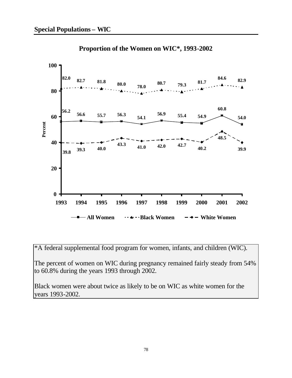

**Proportion of the Women on WIC\*, 1993-2002**

\*A federal supplemental food program for women, infants, and children (WIC).

The percent of women on WIC during pregnancy remained fairly steady from 54% to 60.8% during the years 1993 through 2002.

Black women were about twice as likely to be on WIC as white women for the years 1993-2002.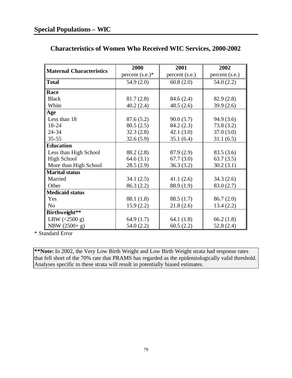| <b>Maternal Characteristics</b> | 2000               | 2001           | 2002           |
|---------------------------------|--------------------|----------------|----------------|
|                                 | percent $(s.e.)^*$ | percent (s.e.) | percent (s.e.) |
| <b>Total</b>                    | 54.9(2.0)          | 60.8(2.0)      | 54.0(2.2)      |
| Race                            |                    |                |                |
| <b>Black</b>                    | 81.7(2.8)          | 84.6 (2.4)     | 82.9(2.8)      |
| White                           | 40.2(2.4)          | 48.5(2.6)      | 39.9(2.6)      |
| Age                             |                    |                |                |
| Less than 18                    | 87.6(5.2)          | 90.0(5.7)      | 94.9(3.6)      |
| 18-24                           | 80.5(2.5)          | 84.2(2.3)      | 73.8(3.2)      |
| 24-34                           | 32.3(2.8)          | 42.1(3.0)      | 37.0(3.0)      |
| $35 - 55$                       | 32.6(5.9)          | 35.1(6.4)      | 31.1(6.5)      |
| <b>Education</b>                |                    |                |                |
| Less than High School           | 88.2 (2.8)         | 87.9 (2.9)     | 83.5(3.6)      |
| <b>High School</b>              | 64.6(3.1)          | 67.7(3.0)      | 63.7(3.5)      |
| More than High School           | 28.5(2.9)          | 36.3(3.2)      | 30.2(3.1)      |
| <b>Marital status</b>           |                    |                |                |
| Married                         | 34.1(2.5)          | 41.1(2.6)      | 34.3(2.6)      |
| Other                           | 86.3 (2.2)         | 88.9 (1.9)     | 83.0 (2.7)     |
| <b>Medicaid status</b>          |                    |                |                |
| Yes                             | 88.1 (1.8)         | 88.5 (1.7)     | 86.7(2.0)      |
| N <sub>o</sub>                  | 15.9(2.2)          | 21.8(2.6)      | 13.4(2.2)      |
| Birthweight**                   |                    |                |                |
| LBW $(<2500 g)$                 | 64.9(1.7)          | 64.1 $(1.8)$   | 66.2(1.8)      |
| NBW $(2500+ g)$                 | 54.0(2.2)          | 60.5(2.2)      | 52.8(2.4)      |

### **Characteristics of Women Who Received WIC Services, 2000-2002**

\* Standard Error

**\*\*Note:** In 2002, the Very Low Birth Weight and Low Birth Weight strata had response rates that fell short of the 70% rate that PRAMS has regarded as the epidemiologically valid threshold. Analyses specific to these strata will result in potentially biased estimates.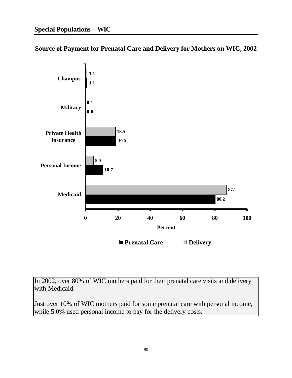**Source of Payment for Prenatal Care and Delivery for Mothers on WIC, 2002**



In 2002, over 80% of WIC mothers paid for their prenatal care visits and delivery with Medicaid.

Just over 10% of WIC mothers paid for some prenatal care with personal income, while 5.0% used personal income to pay for the delivery costs.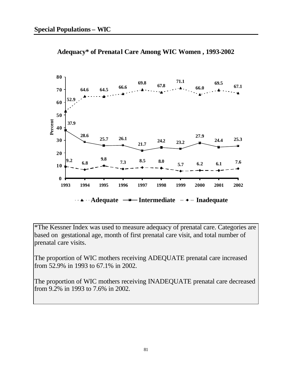



\*The Kessner Index was used to measure adequacy of prenatal care. Categories are based on gestational age, month of first prenatal care visit, and total number of prenatal care visits.

The proportion of WIC mothers receiving ADEQUATE prenatal care increased from 52.9% in 1993 to 67.1% in 2002.

The proportion of WIC mothers receiving INADEQUATE prenatal care decreased from 9.2% in 1993 to 7.6% in 2002.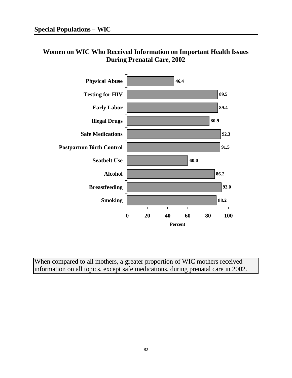### **Women on WIC Who Received Information on Important Health Issues During Prenatal Care, 2002**



When compared to all mothers, a greater proportion of WIC mothers received information on all topics, except safe medications, during prenatal care in 2002.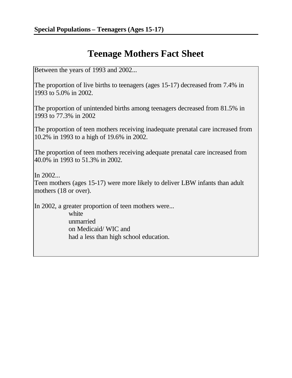# **Teenage Mothers Fact Sheet**

Between the years of 1993 and 2002...

The proportion of live births to teenagers (ages 15-17) decreased from 7.4% in 1993 to 5.0% in 2002.

The proportion of unintended births among teenagers decreased from 81.5% in 1993 to 77.3% in 2002

The proportion of teen mothers receiving inadequate prenatal care increased from 10.2% in 1993 to a high of 19.6% in 2002.

The proportion of teen mothers receiving adequate prenatal care increased from 40.0% in 1993 to 51.3% in 2002.

In 2002...

Teen mothers (ages 15-17) were more likely to deliver LBW infants than adult mothers (18 or over).

In 2002, a greater proportion of teen mothers were...

white unmarried on Medicaid/ WIC and had a less than high school education.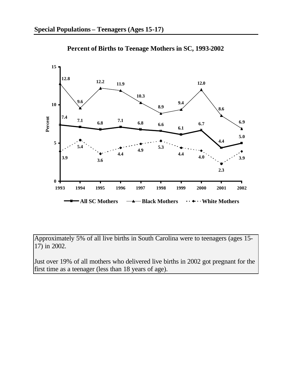

**Percent of Births to Teenage Mothers in SC, 1993-2002**

Approximately 5% of all live births in South Carolina were to teenagers (ages 15- 17) in 2002.

Just over 19% of all mothers who delivered live births in 2002 got pregnant for the first time as a teenager (less than 18 years of age).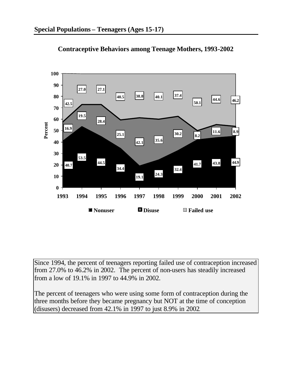



Since 1994, the percent of teenagers reporting failed use of contraception increased from 27.0% to 46.2% in 2002. The percent of non-users has steadily increased from a low of 19.1% in 1997 to 44.9% in 2002.

The percent of teenagers who were using some form of contraception during the three months before they became pregnancy but NOT at the time of conception (disusers) decreased from 42.1% in 1997 to just 8.9% in 2002.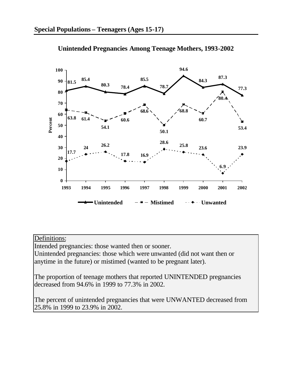

**Unintended Pregnancies Among Teenage Mothers, 1993-2002**

### Definitions:

Intended pregnancies: those wanted then or sooner.

Unintended pregnancies: those which were unwanted (did not want then or anytime in the future) or mistimed (wanted to be pregnant later).

The proportion of teenage mothers that reported UNINTENDED pregnancies decreased from 94.6% in 1999 to 77.3% in 2002.

The percent of unintended pregnancies that were UNWANTED decreased from 25.8% in 1999 to 23.9% in 2002.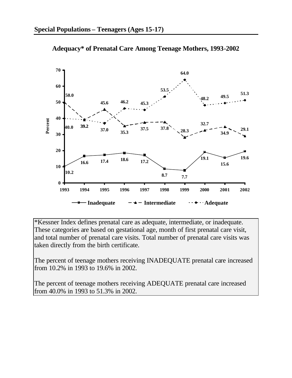

**Adequacy\* of Prenatal Care Among Teenage Mothers, 1993-2002**

\*Kessner Index defines prenatal care as adequate, intermediate, or inadequate. These categories are based on gestational age, month of first prenatal care visit, and total number of prenatal care visits. Total number of prenatal care visits was taken directly from the birth certificate.

The percent of teenage mothers receiving INADEQUATE prenatal care increased from 10.2% in 1993 to 19.6% in 2002.

The percent of teenage mothers receiving ADEQUATE prenatal care increased from 40.0% in 1993 to 51.3% in 2002.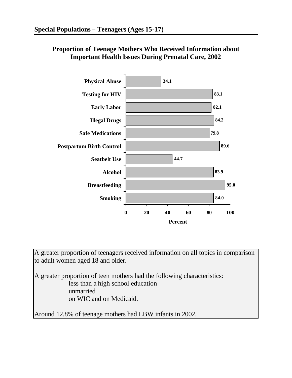



A greater proportion of teenagers received information on all topics in comparison to adult women aged 18 and older.

A greater proportion of teen mothers had the following characteristics: less than a high school education unmarried on WIC and on Medicaid.

Around 12.8% of teenage mothers had LBW infants in 2002.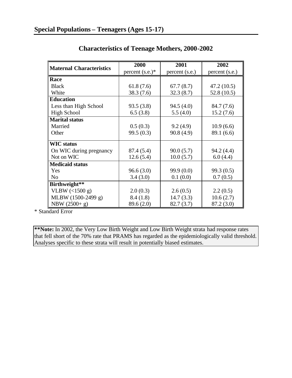| <b>Maternal Characteristics</b> | 2000               | 2001           | 2002           |
|---------------------------------|--------------------|----------------|----------------|
|                                 | percent $(s.e.)^*$ | percent (s.e.) | percent (s.e.) |
| Race                            |                    |                |                |
| <b>Black</b>                    | 61.8(7.6)          | 67.7(8.7)      | 47.2(10.5)     |
| White                           | 38.3(7.6)          | 32.3(8.7)      | 52.8(10.5)     |
| <b>Education</b>                |                    |                |                |
| Less than High School           | 93.5(3.8)          | 94.5(4.0)      | 84.7 (7.6)     |
| <b>High School</b>              | 6.5(3.8)           | 5.5(4.0)       | 15.2(7.6)      |
| <b>Marital status</b>           |                    |                |                |
| Married                         | 0.5(0.3)           | 9.2(4.9)       | 10.9(6.6)      |
| Other                           | 99.5(0.3)          | 90.8(4.9)      | 89.1 (6.6)     |
| <b>WIC</b> status               |                    |                |                |
| On WIC during pregnancy         | 87.4 (5.4)         | 90.0(5.7)      | 94.2 (4.4)     |
| Not on WIC                      | 12.6(5.4)          | 10.0(5.7)      | 6.0(4.4)       |
| <b>Medicaid status</b>          |                    |                |                |
| Yes                             | 96.6(3.0)          | 99.9 (0.0)     | 99.3(0.5)      |
| N <sub>0</sub>                  | 3.4(3.0)           | 0.1(0.0)       | 0.7(0.5)       |
| Birthweight**                   |                    |                |                |
| VLBW $($ 1500 g)                | 2.0(0.3)           | 2.6(0.5)       | 2.2(0.5)       |
| MLBW (1500-2499 g)              | 8.4(1.8)           | 14.7(3.3)      | 10.6(2.7)      |
| NBW $(2500 + g)$                | 89.6 (2.0)         | 82.7(3.7)      | 87.2 (3.0)     |

# **Characteristics of Teenage Mothers, 2000-2002**

\* Standard Error

**\*\*Note:** In 2002, the Very Low Birth Weight and Low Birth Weight strata had response rates that fell short of the 70% rate that PRAMS has regarded as the epidemiologically valid threshold. Analyses specific to these strata will result in potentially biased estimates.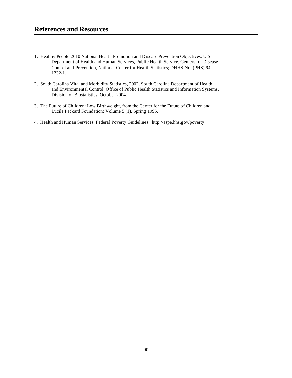- 1. Healthy People 2010 National Health Promotion and Disease Prevention Objectives, U.S. Department of Health and Human Services, Public Health Service, Centers for Disease Control and Prevention, National Center for Health Statistics; DHHS No. (PHS) 94- 1232-1.
- 2. South Carolina Vital and Morbidity Statistics, 2002, South Carolina Department of Health and Environmental Control, Office of Public Health Statistics and Information Systems, Division of Biostatistics, October 2004.
- 3. The Future of Children: Low Birthweight, from the Center for the Future of Children and Lucile Packard Foundation; Volume 5 (1), Spring 1995.
- 4. Health and Human Services, Federal Poverty Guidelines. http://aspe.hhs.gov/poverty.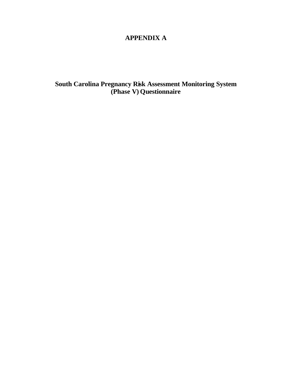# **APPENDIX A**

**South Carolina Pregnancy Risk Assessment Monitoring System (Phase V) Questionnaire**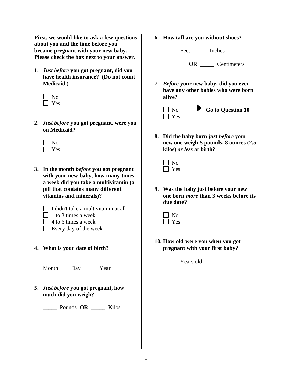**First, we would like to ask a few questions about you and the time before you became pregnant with your new baby. Please check the box next to your answer.**

- **1.** *Just before* **you got pregnant, did you have health insurance? (Do not count Medicaid.)**
	- No Yes
- **2.** *Just before* **you got pregnant, were you on Medicaid?**
	- $\Box$  No **Nes**
- **3. In the month** *before* **you got pregnant with your new baby, how many times a week did you take a multivitamin (a pill that contains many different vitamins and minerals)?**
	- $\Box$  I didn't take a multivitamin at all
	- $\Box$  1 to 3 times a week
	- $\Box$  4 to 6 times a week
	- $\Box$  Every day of the week
- **4. What is your date of birth?**

\_\_\_\_\_ \_\_\_\_\_ \_\_\_\_\_

Month Day Year

**5.** *Just before* **you got pregnant, how much did you weigh?**

\_\_\_\_\_ Pounds **OR** \_\_\_\_\_ Kilos

**6. How tall are you without shoes?**

\_\_\_\_\_ Feet \_\_\_\_\_ Inches

**OR** \_\_\_\_\_ Centimeters

**7.** *Before* **your new baby, did you ever have any other babies who were born alive?**



**8. Did the baby born** *just before* **your new one weigh 5 pounds, 8 ounces (2.5 kilos)** *or less* **at birth?**

**9. Was the baby just before your new one born** *more* **than 3 weeks before its due date?**

**10. How old were you when you got pregnant with your first baby?**

Years old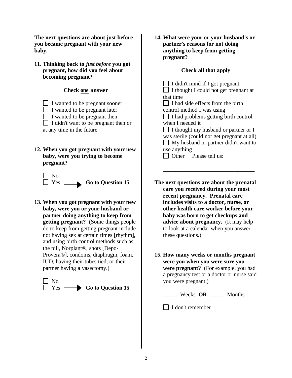**The next questions are about just before you became pregnant with your new baby.**

**11. Thinking back to** *just before* **you got pregnant, how did you feel about becoming pregnant?**

# **Check one answer**

- I wanted to be pregnant sooner
- $\Box$  I wanted to be pregnant later
- $\Box$  I wanted to be pregnant then
- $\Box$  I didn't want to be pregnant then or at any time in the future
- **12. When you got pregnant with your new baby, were you trying to become pregnant?**



**13. When you got pregnant with your new baby, were you or your husband or partner doing anything to keep from getting pregnant?** (Some things people do to keep from getting pregnant include not having sex at certain times [rhythm], and using birth control methods such as the pill, Norplant®, shots [Depo-Provera®], condoms, diaphragm, foam, IUD, having their tubes tied, or their partner having a vasectomy.)



**14. What were your or your husband's or partner's reasons for not doing anything to keep from getting pregnant?**

# **Check all that apply**

 $\Box$  I didn't mind if I got pregnant  $\Box$  I thought I could not get pregnant at that time  $\Box$  I had side effects from the birth control method I was using  $\Box$  I had problems getting birth control when I needed it  $\Box$  I thought my husband or partner or I was sterile (could not get pregnant at all) My husband or partner didn't want to use anything Other Please tell us:

**The next questions are about the prenatal care you received during your most recent pregnancy. Prenatal care includes visits to a doctor, nurse, or other health care worker before your baby was born to get checkups and advice about pregnancy.** (It may help to look at a calendar when you answer these questions.)

\_\_\_\_\_\_\_\_\_\_\_\_\_\_\_\_\_\_\_\_\_\_\_\_\_\_\_\_\_\_\_\_

**15. How many weeks or months pregnant were you when you were sure you were pregnant?** (For example, you had a pregnancy test or a doctor or nurse said you were pregnant.)

\_\_\_\_\_ Weeks **OR** \_\_\_\_\_ Months

 $\Box$  I don't remember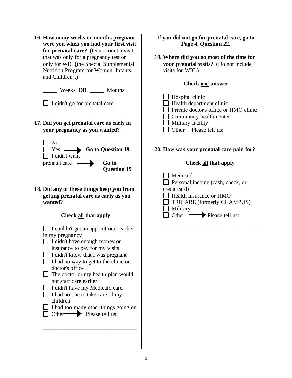**16. How many weeks or months pregnant were you when you had your first visit for prenatal care?** (Don't count a visit that was only for a pregnancy test or only for WIC [the Special Supplemental Nutrition Program for Women, Infants, and Children].)

\_\_\_\_\_ Weeks **OR** \_\_\_\_\_ Months

 $\Box$  I didn't go for prenatal care

**17. Did you get prenatal care as early in your pregnancy as you wanted?**



**18. Did any of these things keep you from getting prenatal care as early as you wanted?**

# **Check all that apply**

| Спеск ан ини арргу                    |
|---------------------------------------|
| I couldn't get an appointment earlier |
| in my pregnancy                       |
| I didn't have enough money or         |
| insurance to pay for my visits        |
| I didn't know that I was pregnant     |
| I had no way to get to the clinic or  |
| doctor's office                       |
| The doctor or my health plan would    |
| not start care earlier                |
| I didn't have my Medicaid card        |
| I had no one to take care of my       |
| children                              |
| I had too many other things going on  |
| Please tell us:<br>Other $-$          |
|                                       |

\_\_\_\_\_\_\_\_\_\_\_\_\_\_\_\_\_\_\_\_\_\_\_\_\_\_\_\_\_\_\_\_\_

**If you did not go for prenatal care, go to Page 4, Question 22.**

**19. Where did you go most of the time for your prenatal visits?** (Do not include visits for WIC.)

## **Check one answer**

 $\Box$  Hospital clinic  $\Box$  Health department clinic □ Private doctor's office or HMO clinic  $\Box$  Community health center **Military facility** Other Please tell us:

## **20. How was your prenatal care paid for?**

# **Check all that apply**

**Medicaid Personal income (cash, check, or** credit card) **Health insurance or HMO**  $\Box$  TRICARE (formerly CHAMPUS)  $\Box$  Military Other Please tell us:

\_\_\_\_\_\_\_\_\_\_\_\_\_\_\_\_\_\_\_\_\_\_\_\_\_\_\_\_\_\_\_\_\_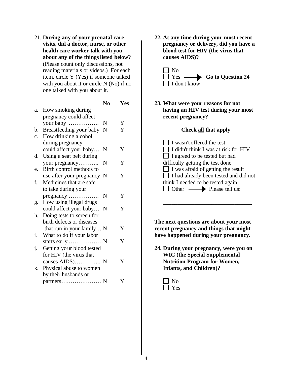21. **During any of your prenatal care visits, did a doctor, nurse, or other health care worker talk with you about any of the things listed below?** (Please count only discussions, not reading materials or videos.) For each item, circle Y (Yes) if someone talked with you about it or circle N (No) if no one talked with you about it.

|    |                            | N <sub>0</sub> | <b>Yes</b> |
|----|----------------------------|----------------|------------|
| a. | How smoking during         |                |            |
|    | pregnancy could affect     |                |            |
|    | your baby                  | N              | Y          |
| b. | Breastfeeding your baby    | N              | Y          |
| c. | How drinking alcohol       |                |            |
|    | during pregnancy           |                |            |
|    | could affect your baby     | N              | Y          |
| d. | Using a seat belt during   |                |            |
|    | your pregnancy             | N              | Y          |
| e. | Birth control methods to   |                |            |
|    | use after your pregnancy N |                | Y          |
| f. | Medicines that are safe    |                |            |
|    | to take during your        |                |            |
|    | pregnancy                  | N              | Y          |
| g. | How using illegal drugs    |                |            |
|    | could affect your baby     | $\mathbf N$    | Y          |
| h. | Doing tests to screen for  |                |            |
|    | birth defects or diseases  |                |            |
|    | that run in your family N  |                | Y          |
| i. | What to do if your labor   |                |            |
|    |                            |                | Y          |
| j. | Getting your blood tested  |                |            |
|    | for HIV (the virus that    |                |            |
|    | causes AIDS) N             |                | Y          |
| k. | Physical abuse to women    |                |            |
|    | by their husbands or       |                |            |
|    |                            |                | Y          |

**22. At any time during your most recent pregnancy or delivery, did you have a blood test for HIV (the virus that causes AIDS)?**



**23. What were your reasons for not having an HIV test during your most recent pregnancy?**

#### **Check all that apply**

| I wasn't offered the test                    |
|----------------------------------------------|
| I didn't think I was at risk for HIV         |
| $\Box$ I agreed to be tested but had         |
| difficulty getting the test done             |
| $\Box$ I was afraid of getting the result    |
| $\Box$ I had already been tested and did not |
| think I needed to be tested again            |
| Other  Streetell us:                         |
|                                              |

\_\_\_\_\_\_\_\_\_\_\_\_\_\_\_\_\_\_\_\_\_\_\_\_\_\_\_\_\_\_\_

**The next questions are about your most recent pregnancy and things that might have happened during your pregnancy.**

**24. During your pregnancy, were you on WIC (the Special Supplemental Nutrition Program for Women, Infants, and Children)?**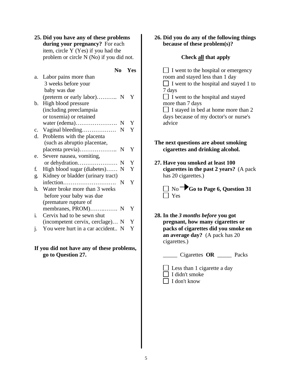**25. Did you have any of these problems during your pregnancy?** For each item, circle Y (Yes) if you had the problem or circle N (No) if you did not.

|    |                                   | No | Yes |
|----|-----------------------------------|----|-----|
| a. | Labor pains more than             |    |     |
|    | 3 weeks before your               |    |     |
|    | baby was due                      |    |     |
|    | (preterm or early labor) N        |    | Y   |
| b. | High blood pressure               |    |     |
|    | (including preeclampsia           |    |     |
|    | or toxemia) or retained           |    |     |
|    | water (edema)                     | N  | Y   |
| c. | Vaginal bleeding                  | N  | Y   |
| d. | Problems with the placenta        |    |     |
|    | (such as abruptio placentae,      |    |     |
|    |                                   |    | Y   |
| e. | Severe nausea, vomiting,          |    |     |
|    | or dehydration                    | N  | Y   |
| f. | High blood sugar (diabetes)       | N  | Y   |
| g. | Kidney or bladder (urinary tract) |    |     |
|    | infection                         | N  | Y   |
| h. | Water broke more than 3 weeks     |    |     |
|    | before your baby was due          |    |     |
|    | (premature rupture of             |    |     |
|    | membranes, PROM) N                |    | Y   |
| i. | Cervix had to be sewn shut        |    |     |
|    | (incompetent cervix, cerclage) N  |    | Y   |
| 1. | You were hurt in a car accident N |    | Y   |

#### **If you did not have any of these problems, go to Question 27.**

#### **26. Did you do any of the following things because of these problem(s)?**

# **Check all that apply**

 $\Box$  I went to the hospital or emergency room and stayed less than 1 day  $\Box$  I went to the hospital and stayed 1 to 7 days I went to the hospital and stayed more than 7 days  $\Box$  I stayed in bed at home more than 2 days because of my doctor's or nurse's advice **The next questions are about smoking** 

# **cigarettes and drinking alcohol.**

**27. Have you smoked at least 100 cigarettes in the past 2 years?** (A pack has 20 cigarettes.)

 $\Box$  No  $\bigcirc$  Go to Page 6, Question 31 **N** Yes

**28. In the** *3 months before* **you got pregnant, how many cigarettes or packs of cigarettes did you smoke on an average day?** (A pack has 20 cigarettes.)

\_\_\_\_\_ Cigarettes **OR** \_\_\_\_\_ Packs

 $\Box$  Less than 1 cigarette a day  $\Box$  I didn't smoke  $\Box$  I don't know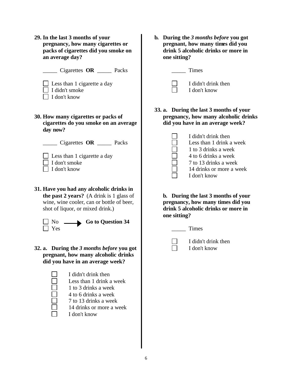- **29. In the last 3 months of your pregnancy, how many cigarettes or packs of cigarettes did you smoke on an average day?**
	- \_\_\_\_\_ Cigarettes **OR** \_\_\_\_\_ Packs
	- $\Box$  Less than 1 cigarette a day
	- $\Box$  I didn't smoke
	- $\prod$  I don't know
- **30. How many cigarettes or packs of cigarettes do you smoke on an average day now?**

- \_\_\_\_\_ Cigarettes **OR** \_\_\_\_\_ Packs
- $\Box$  Less than 1 cigarette a day
- $\Box$  I don't smoke
- $\Box$  I don't know
- **31. Have you had any alcoholic drinks in the past 2 years?** (A drink is 1 glass of wine, wine cooler, can or bottle of beer, shot of liquor, or mixed drink.)



- No Go to Question 34
- **32. a. During the** *3 months before* **you got pregnant, how many alcoholic drinks did you have in an average week?**



I didn't drink then Less than 1 drink a week 1 to 3 drinks a week 4 to 6 drinks a week 7 to 13 drinks a week 14 drinks or more a week I don't know

**b. During the** *3 months before* **you got pregnant, how many times did you drink 5 alcoholic drinks or more in one sitting?**

\_\_\_\_\_ Times



- I didn't drink then
- I don't know
- **33. a. During the last 3 months of your pregnancy, how many alcoholic drinks did you have in an average week?**

|                          | I didn't drink then      |
|--------------------------|--------------------------|
| $\overline{\phantom{a}}$ | Less than 1 drink a week |
| $\overline{\phantom{a}}$ | 1 to 3 drinks a week     |
|                          | 4 to 6 drinks a week     |
| $\overline{\phantom{a}}$ | 7 to 13 drinks a week    |
| $\overline{\phantom{a}}$ | 14 drinks or more a week |
|                          | I don't know             |

**b. During the last 3 months of your pregnancy, how many times did you drink 5 alcoholic drinks or more in one sitting?**

\_\_\_\_\_ Times

I didn't drink then I don't know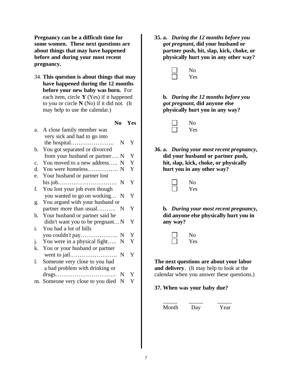**Pregnancy can be a difficult time for some women. These next questions are about things that may have happened before and during your most recent pregnancy.**

34. **This question is about things that may have happened during the 12 months before your new baby was born.** For each item, circle **Y** (Yes) if it happened to you or circle **N** (No) if it did not. (It may help to use the calendar.)

**No Yes**

|                | a. A close family member was    |   |   |
|----------------|---------------------------------|---|---|
|                | very sick and had to go into    |   |   |
|                |                                 | N | Y |
| $b_{\cdot}$    | You got separated or divorced   |   |   |
|                | from your husband or partner N  |   | Y |
| $\mathbf{c}$ . | You moved to a new address      | N | Y |
| d.             | You were homeless               | N | Y |
| e.             | Your husband or partner lost    |   |   |
|                |                                 | N | Y |
| f.             | You lost your job even though   |   |   |
|                | you wanted to go on working     | N | Y |
| g.             | You argued with your husband or |   |   |
|                | partner more than usual         | N | Y |
| h.             | Your husband or partner said he |   |   |
|                | didn't want you to be pregnantN |   | Y |
| i.             | You had a lot of bills          |   |   |
|                |                                 | N | Y |
| j.             | You were in a physical fight    | N | Y |
| k.             | You or your husband or partner  |   |   |
|                |                                 | N | Y |
| 1.             | Someone very close to you had   |   |   |
|                | a bad problem with drinking or  |   |   |
|                |                                 | N | Y |
| m.             | Someone very close to you died  | N | Y |

**35. a.** *During the 12 months before you got pregnant***, did your husband or partner push, hit, slap, kick, choke, or physically hurt you in any other way?**



**b.** *During the 12 months before you got pregnant,* **did anyone else physically hurt you in any way?**

| N۵ |
|----|
| es |

**36. a.** *During your most recent pregnancy,* **did your husband or partner push, hit, slap, kick, choke, or physically hurt you in any other way?**

| N <sub>O</sub> |
|----------------|
| es             |

**b.** *During your most recent pregnancy,* **did anyone else physically hurt you in any way?**

| No  |
|-----|
| Yes |

**The next questions are about your labor and delivery**. (It may help to look at the calendar when you answer these questions.)

#### **37. When was your baby due?**

\_\_\_\_\_ \_\_\_\_\_ \_\_\_\_\_

Month Day Year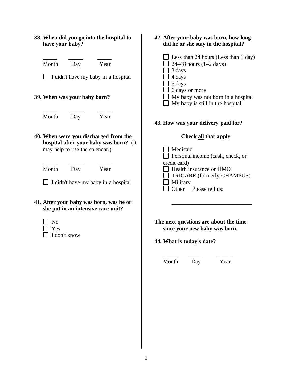| 38. When did you go into the hospital to<br>have your baby?                                                       | 42. After your baby was born, how long<br>did he or she stay in the hospital?                                            |
|-------------------------------------------------------------------------------------------------------------------|--------------------------------------------------------------------------------------------------------------------------|
| Month<br>Year<br>Day<br>$\Box$ I didn't have my baby in a hospital                                                | Less than 24 hours (Less than 1 day)<br>24–48 hours $(1-2 \text{ days})$<br>3 days<br>4 days<br>5 days<br>6 days or more |
| 39. When was your baby born?                                                                                      | My baby was not born in a hospital<br>My baby is still in the hospital                                                   |
| Month<br>Year<br>Day                                                                                              | 43. How was your delivery paid for?                                                                                      |
| 40. When were you discharged from the<br>hospital after your baby was born? (It<br>may help to use the calendar.) | <b>Check all that apply</b><br>Medicaid<br>Personal income (cash, check, or<br>credit card)                              |
| Month<br>Day<br>Year<br>I didn't have my baby in a hospital                                                       | Health insurance or HMO<br>TRICARE (formerly CHAMPUS)<br>Military<br>Other<br>Please tell us:                            |
| 41. After your baby was born, was he or<br>she put in an intensive care unit?                                     |                                                                                                                          |
| N <sub>o</sub><br>Yes<br>I don't know                                                                             | The next questions are about the time<br>since your new baby was born.<br>44. What is today's date?                      |
|                                                                                                                   | Month<br>Day<br>Year                                                                                                     |
|                                                                                                                   |                                                                                                                          |
|                                                                                                                   |                                                                                                                          |
|                                                                                                                   |                                                                                                                          |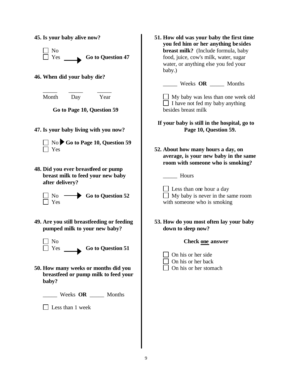| 45. Is your baby alive now?<br>N <sub>0</sub><br>Yes<br><b>Go to Question 47</b><br>46. When did your baby die?                                                                                                                                 | 51. How old was your baby the first time<br>you fed him or her anything besides<br>breast milk? (Include formula, baby<br>food, juice, cow's milk, water, sugar<br>water, or anything else you fed your<br>baby.) |
|-------------------------------------------------------------------------------------------------------------------------------------------------------------------------------------------------------------------------------------------------|-------------------------------------------------------------------------------------------------------------------------------------------------------------------------------------------------------------------|
| Month                                                                                                                                                                                                                                           | Weeks OR _______ Months                                                                                                                                                                                           |
| Year                                                                                                                                                                                                                                            | My baby was less than one week old                                                                                                                                                                                |
| Day                                                                                                                                                                                                                                             | $\Box$ I have not fed my baby anything                                                                                                                                                                            |
| Go to Page 10, Question 59                                                                                                                                                                                                                      | besides breast milk                                                                                                                                                                                               |
| 47. Is your baby living with you now?                                                                                                                                                                                                           | If your baby is still in the hospital, go to                                                                                                                                                                      |
| $\Box$ No $\blacktriangleright$ Go to Page 10, Question 59                                                                                                                                                                                      | Page 10, Question 59.                                                                                                                                                                                             |
| Yes                                                                                                                                                                                                                                             | 52. About how many hours a day, on                                                                                                                                                                                |
| 48. Did you ever breastfeed or pump                                                                                                                                                                                                             | average, is your new baby in the same                                                                                                                                                                             |
| breast milk to feed your new baby                                                                                                                                                                                                               | room with someone who is smoking?                                                                                                                                                                                 |
| after delivery?                                                                                                                                                                                                                                 | Hours                                                                                                                                                                                                             |
| $\rightarrow$ Go to Question 52                                                                                                                                                                                                                 | $\Box$ Less than one hour a day                                                                                                                                                                                   |
| No.                                                                                                                                                                                                                                             | $\Box$ My baby is never in the same room                                                                                                                                                                          |
| Yes                                                                                                                                                                                                                                             | with someone who is smoking                                                                                                                                                                                       |
| 49. Are you still breastfeeding or feeding<br>pumped milk to your new baby?<br>No<br>$\perp$ Yes<br><b>Go to Question 51</b><br>50. How many weeks or months did you<br>breastfeed or pump milk to feed your<br>baby?<br>Weeks OR ______ Months | 53. How do you most often lay your baby<br>down to sleep now?<br><b>Check one answer</b><br>On his or her side<br>On his or her back<br>On his or her stomach                                                     |
| Less than 1 week                                                                                                                                                                                                                                |                                                                                                                                                                                                                   |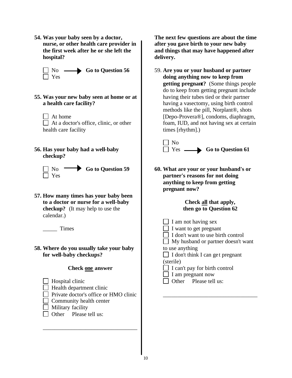**54. Was your baby seen by a doctor, nurse, or other health care provider in the first week after he or she left the hospital?**

$$
\Box
$$
 No  
Yes **Go to Question 56**

- **55. Was your new baby seen at home or at a health care facility?**
	- At home At a doctor's office, clinic, or other health care facility
- **56. Has your baby had a well-baby checkup?**



**57. How many times has your baby been to a doctor or nurse for a well-baby checkup?** (It may help to use the calendar.)

\_\_\_\_\_ Times

**58. Where do you usually take your baby for well-baby checkups?**

#### **Check one answer**

- $\Box$  Hospital clinic
- $\Box$  Health department clinic
- □ Private doctor's office or HMO clinic

\_\_\_\_\_\_\_\_\_\_\_\_\_\_\_\_\_\_\_\_\_\_\_\_\_\_\_\_\_\_\_\_\_

- $\Box$  Community health center
- $\Box$  Military facility
- $\Box$  Other Please tell us:

**The next few questions are about the time after you gave birth to your new baby and things that may have happened after delivery.**

59. **Are you or your husband or partner doing anything now to keep from getting pregnant?** (Some things people do to keep from getting pregnant include having their tubes tied or their partner having a vasectomy, using birth control methods like the pill, Norplant®, shots [Depo-Provera®], condoms, diaphragm, foam, IUD, and not having sex at certain times [rhythm].)



**60. What are your or your husband's or partner's reasons for not doing anything to keep from getting pregnant now?**

# **Check all that apply, then go to Question 62**

 $\Box$  I am not having sex  $\Box$  I want to get pregnant  $\Box$  I don't want to use birth control My husband or partner doesn't want to use anything  $\Box$  I don't think I can get pregnant (sterile)

 $\Box$  I can't pay for birth control

\_\_\_\_\_\_\_\_\_\_\_\_\_\_\_\_\_\_\_\_\_\_\_\_\_\_\_\_\_\_\_\_\_

- $\Box$  I am pregnant now
- $\Box$  Other Please tell us: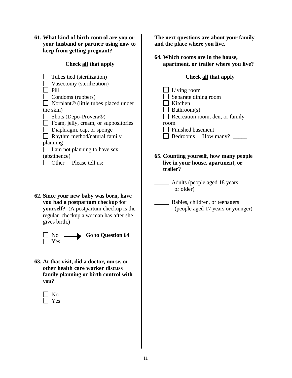**61. What kind of birth control are you or your husband or partne r using now to keep from getting pregnant?**

#### **Check all that apply**

| Tubes tied (sterilization)                       |  |  |
|--------------------------------------------------|--|--|
| Vasectomy (sterilization)                        |  |  |
| Pill                                             |  |  |
| Condoms (rubbers)                                |  |  |
| Norplant <sup>®</sup> (little tubes placed under |  |  |
| the skin)                                        |  |  |
| Shots (Depo-Provera <sup>®</sup> )               |  |  |
| Foam, jelly, cream, or suppositories             |  |  |
| Diaphragm, cap, or sponge                        |  |  |
| Rhythm method/natural family                     |  |  |
| planning                                         |  |  |
| I am not planning to have sex                    |  |  |
| (abstinence)                                     |  |  |
| Other Please tell us:                            |  |  |

**62. Since your new baby was born, have you had a postpartum checkup for yourself?** (A postpartum checkup is the regular checkup a woman has after she gives birth.)

\_\_\_\_\_\_\_\_\_\_\_\_\_\_\_\_\_\_\_\_\_\_\_\_\_\_\_\_\_



**63. At that visit, did a doctor, nurse, or other health care worker discuss family planning or birth control with you?**

No **Nes** 

**The next questions are about your family and the place where you live.**

**64. Which rooms are in the house, apartment, or trailer where you live?**

## **Check all that apply**

| $\Box$ Living room              |
|---------------------------------|
| $\Box$ Separate dining room     |
| Kitchen                         |
| $\Box$ Bathroom(s)              |
| Recreation room, den, or family |
| room                            |
| Finished basement               |
| Bedrooms How many?              |

- **65. Counting yourself, how many people live in your house, apartment, or trailer?**
	- \_\_\_\_\_ Adults (people aged 18 years or older)
	- \_\_\_\_\_ Babies, children, or teenagers (people aged 17 years or younger)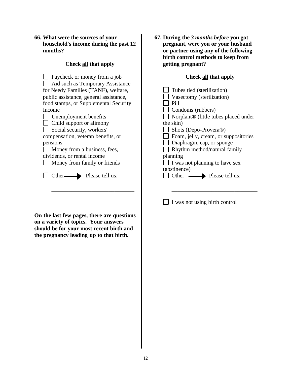| 66. What were the sources of your     |
|---------------------------------------|
| household's income during the past 12 |
| months?                               |

# **Check all that apply**

| Paycheck or money from a job           | <b>Check all that apply</b>          |
|----------------------------------------|--------------------------------------|
| Aid such as Temporary Assistance       |                                      |
| for Needy Families (TANF), welfare,    | Tubes tied (sterilization)           |
| public assistance, general assistance, | Vasectomy (sterilization)            |
| food stamps, or Supplemental Security  | Pill                                 |
| Income                                 | Condoms (rubbers)                    |
| Unemployment benefits                  | Norplant® (little tubes placed under |
| Child support or alimony               | the skin)                            |
| Social security, workers'              | Shots (Depo-Provera®)                |
| compensation, veteran benefits, or     | Foam, jelly, cream, or suppositories |
| pensions                               | Diaphragm, cap, or sponge            |
| Money from a business, fees,           | Rhythm method/natural family         |
| dividends, or rental income            | planning                             |
| Money from family or friends           | I was not planning to have sex       |
|                                        | (abstinence)                         |
| Please tell us:<br>Other-              | Other<br>Please tell us:             |
|                                        |                                      |
|                                        |                                      |

**On the last few pages, there are questions on a variety of topics. Your answers should be for your most recent birth and the pregnancy leading up to that birth.**

**67. During the** *3 months before* **you got pregnant, were you or your husband or partner using any of the following birth control methods to keep from getting pregnant?**

# **Check all that apply**

| Tubes tied (sterilization)                       |
|--------------------------------------------------|
| Vasectomy (sterilization)                        |
| Pill                                             |
| Condoms (rubbers)                                |
| Norplant <sup>®</sup> (little tubes placed under |
| the skin)                                        |
| Shots (Depo-Provera <sup>®</sup> )               |
| Foam, jelly, cream, or suppositories             |
| Diaphragm, cap, or sponge                        |
| Rhythm method/natural family                     |
| planning                                         |
| I was not planning to have sex                   |
| (abstinence)                                     |
| Other<br>Please tell us:                         |
|                                                  |

 $\Box$  I was not using birth control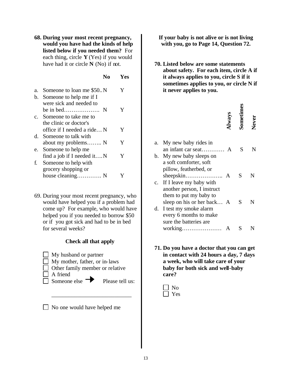**68. During your most recent pregnancy, would you have had the kinds of help listed below if you needed them?** For each thing, circle **Y** (Yes) if you would have had it or circle **N** (No) if not.

#### **No Yes**

| Someone to loan me \$50 N     |   |
|-------------------------------|---|
| Someone to help me if I       |   |
| were sick and needed to       |   |
|                               | Y |
| c. Someone to take me to      |   |
| the clinic or doctor's        |   |
| office if I needed a ride N   | Y |
| Someone to talk with          |   |
| about my problems N           | Y |
| Someone to help me            |   |
| find a job if I needed it $N$ | Y |
| Someone to help with          |   |
| grocery shopping or           |   |
| house cleaning N              |   |
|                               |   |

69. During your most recent pregnancy, who would have helped you if a problem had come up? For example, who would have helped you if you needed to borrow \$50 or if you got sick and had to be in bed for several weeks?

#### **Check all that apply**

**My husband or partner**  $\Box$  My mother, father, or in-laws Other family member or relative  $\Box$  A friend  $\Box$  Someone else  $\Box$  Please tell us:

No one would have helped me

\_\_\_\_\_\_\_\_\_\_\_\_\_\_\_\_\_\_\_\_\_\_\_\_\_\_\_\_

**If your baby is not alive or is not living with you, go to Page 14, Question 72.**

**70. Listed below are some statements about safety. For each item, circle A if it always applies to you, circle S if it sometimes applies to you, or circle N if it never applies to you.**

|                |                            | Always | sometim | Never |
|----------------|----------------------------|--------|---------|-------|
| a.             | My new baby rides in       |        |         |       |
|                |                            |        | S       |       |
| b.             | My new baby sleeps on      |        |         |       |
|                | a soft comforter, soft     |        |         |       |
|                | pillow, featherbed, or     |        |         |       |
|                |                            |        | S       | N     |
| $\mathbf{c}$ . | If I leave my baby with    |        |         |       |
|                | another person, I instruct |        |         |       |
|                | them to put my baby to     |        |         |       |
|                | sleep on his or her back A |        | S       | N     |
| d.             | I test my smoke alarm      |        |         |       |
|                | every 6 months to make     |        |         |       |
|                | sure the batteries are     |        |         |       |
|                | working                    |        |         |       |

**71. Do you have a doctor that you can get in contact with 24 hours a day, 7 days a week, who will take care of your baby for both sick and well-baby care?**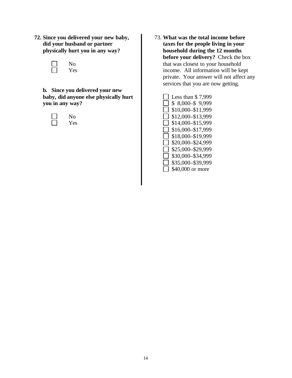**72. Since you delivered your new baby, did your husband or partner physically hurt you in any way?**

| ( )     |
|---------|
| -<br>PS |

**b. Since you delivered your new baby, did anyone else physically hurt you in any way?**

| n  |
|----|
| PS |

73. **What was the total income before taxes for the people living in your household during the 12 months before your delivery?** Check the box that was closest to your household income. All information will be kept private. Your answer will not affect any services that you are now getting.

| Less than \$7,999 |
|-------------------|
| $$8,000-\$9,999$  |
| \$10,000-\$11,999 |
| \$12,000-\$13,999 |
| \$14,000-\$15,999 |
| \$16,000-\$17,999 |
| \$18,000-\$19,999 |
| \$20,000-\$24,999 |
| \$25,000-\$29,999 |
| \$30,000-\$34,999 |
| \$35,000-\$39,999 |
| \$40,000 or more  |
|                   |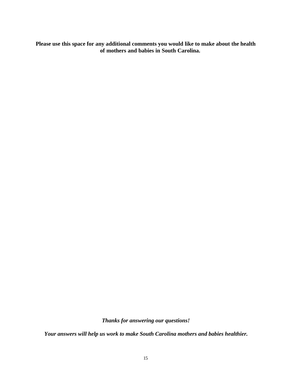**Please use this space for any additional comments you would like to make about the health of mothers and babies in South Carolina.**

*Thanks for answering our questions!*

*Your answers will help us work to make South Carolina mothers and babies healthier.*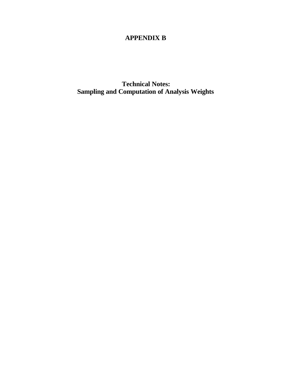# **APPENDIX B**

**Technical Notes: Sampling and Computation of Analysis Weights**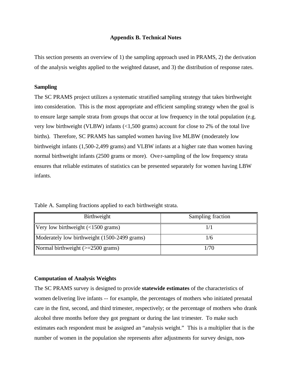#### **Appendix B. Technical Notes**

This section presents an overview of 1) the sampling approach used in PRAMS, 2) the derivation of the analysis weights applied to the weighted dataset, and 3) the distribution of response rates.

#### **Sampling**

The SC PRAMS project utilizes a systematic stratified sampling strategy that takes birthweight into consideration. This is the most appropriate and efficient sampling strategy when the goal is to ensure large sample strata from groups that occur at low frequency in the total population (e.g. very low birthweight (VLBW) infants (<1,500 grams) account for close to 2% of the total live births). Therefore, SC PRAMS has sampled women having live MLBW (moderately low birthweight infants (1,500-2,499 grams) and VLBW infants at a higher rate than women having normal birthweight infants (2500 grams or more). Ove r-sampling of the low frequency strata ensures that reliable estimates of statistics can be presented separately for women having LBW infants.

| Birthweight                                            | Sampling fraction |
|--------------------------------------------------------|-------------------|
| Very low birthweight $\left($ <1500 grams)             |                   |
| Moderately low birthweight (1500-2499 grams)           | 1/6               |
| Normal birthweight $\left(>=2500 \text{ grams}\right)$ | 1/70              |

Table A. Sampling fractions applied to each birthweight strata.

#### **Computation of Analysis Weights**

The SC PRAMS survey is designed to provide **statewide estimates** of the characteristics of women delivering live infants -- for example, the percentages of mothers who initiated prenatal care in the first, second, and third trimester, respectively; or the percentage of mothers who drank alcohol three months before they got pregnant or during the last trimester. To make such estimates each respondent must be assigned an "analysis weight." This is a multiplier that is the number of women in the population she represents after adjustments for survey design, non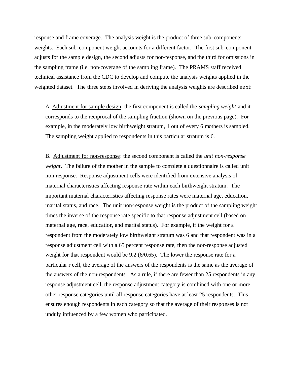response and frame coverage. The analysis weight is the product of three sub-components weights. Each sub-component weight accounts for a different factor. The first sub-component adjusts for the sample design, the second adjusts for non-response, and the third for omissions in the sampling frame (i.e. non-coverage of the sampling frame). The PRAMS staff received technical assistance from the CDC to develop and compute the analysis weights applied in the weighted dataset. The three steps involved in deriving the analysis weights are described next:

A. Adjustment for sample design: the first component is called the *sampling weight* and it corresponds to the reciprocal of the sampling fraction (shown on the previous page). For example, in the moderately low birthweight stratum, 1 out of every 6 mothers is sampled. The sampling weight applied to respondents in this particular stratum is 6.

B. Adjustment for non-response: the second component is called the *unit non-response weight*. The failure of the mother in the sample to complete a questionnaire is called unit non-response. Response adjustment cells were identified from extensive analysis of maternal characteristics affecting response rate within each birthweight stratum. The important maternal characteristics affecting response rates were maternal age, education, marital status, and race. The unit non-response weight is the product of the sampling weight times the inverse of the response rate specific to that response adjustment cell (based on maternal age, race, education, and marital status). For example, if the weight for a respondent from the moderately low birthweight stratum was 6 and that respondent was in a response adjustment cell with a 65 percent response rate, then the non-response adjusted weight for that respondent would be 9.2 (6/0.65). The lower the response rate for a particular r cell, the average of the answers of the respondents is the same as the average of the answers of the non-respondents. As a rule, if there are fewer than 25 respondents in any response adjustment cell, the response adjustment category is combined with one or more other response categories until all response categories have at least 25 respondents. This ensures enough respondents in each category so that the average of their responses is not unduly influenced by a few women who participated.